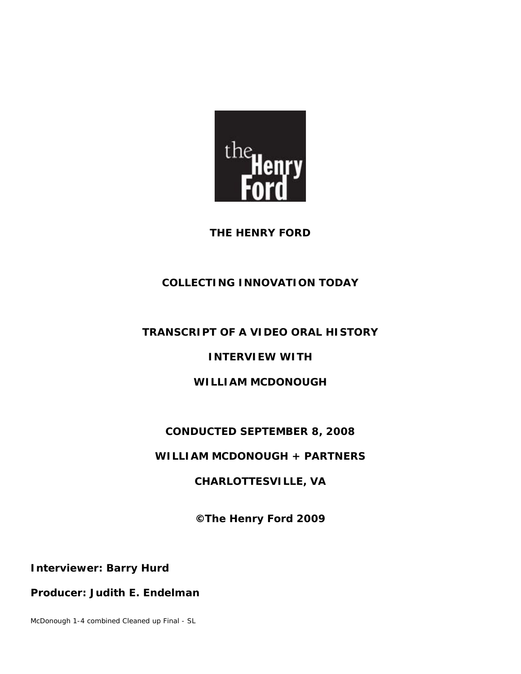

**THE HENRY FORD** 

# **COLLECTING INNOVATION TODAY**

# **TRANSCRIPT OF A VIDEO ORAL HISTORY**

## **INTERVIEW WITH**

## **WILLIAM MCDONOUGH**

# **CONDUCTED SEPTEMBER 8, 2008**

## **WILLIAM MCDONOUGH + PARTNERS**

## **CHARLOTTESVILLE, VA**

**©The Henry Ford 2009** 

**Interviewer: Barry Hurd** 

#### **Producer: Judith E. Endelman**

McDonough 1-4 combined Cleaned up Final - SL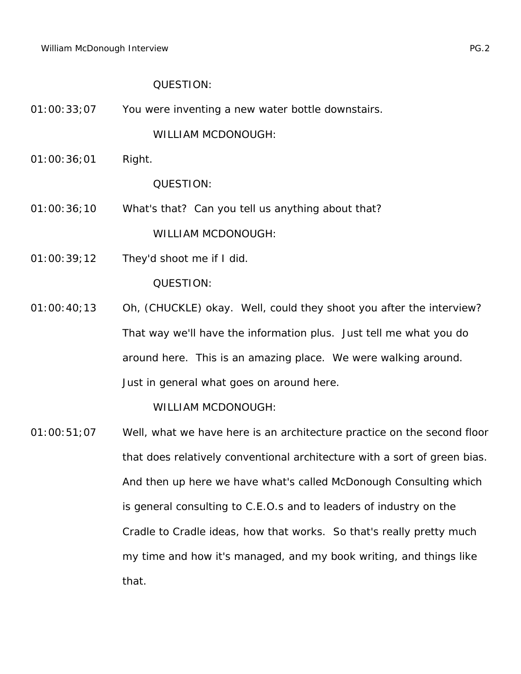01:00:33;07 You were inventing a new water bottle downstairs.

WILLIAM MCDONOUGH:

01:00:36;01 Right.

QUESTION:

- 01:00:36;10 What's that? Can you tell us anything about that? WILLIAM MCDONOUGH:
- 01:00:39;12 They'd shoot me if I did.

QUESTION:

01:00:40;13 Oh, (CHUCKLE) okay. Well, could they shoot you after the interview? That way we'll have the information plus. Just tell me what you do around here. This is an amazing place. We were walking around. Just in general what goes on around here.

WILLIAM MCDONOUGH:

01:00:51;07 Well, what we have here is an architecture practice on the second floor that does relatively conventional architecture with a sort of green bias. And then up here we have what's called McDonough Consulting which is general consulting to C.E.O.s and to leaders of industry on the Cradle to Cradle ideas, how that works. So that's really pretty much my time and how it's managed, and my book writing, and things like that.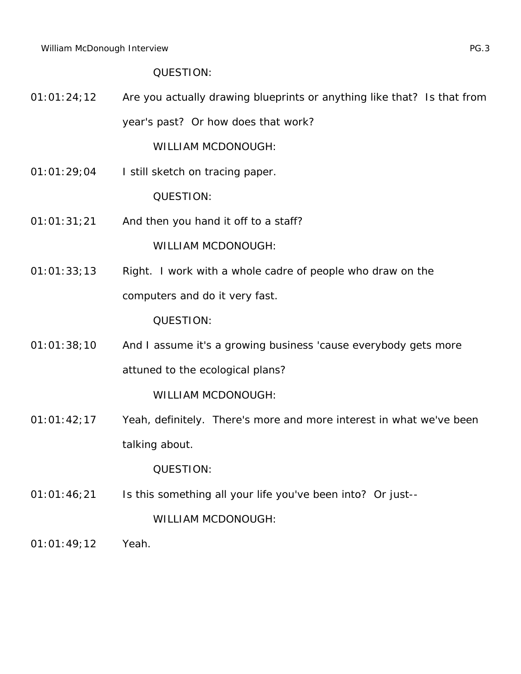01:01:24;12 Are you actually drawing blueprints or anything like that? Is that from year's past? Or how does that work?

WILLIAM MCDONOUGH:

01:01:29;04 I still sketch on tracing paper.

QUESTION:

01:01:31;21 And then you hand it off to a staff?

WILLIAM MCDONOUGH:

01:01:33;13 Right. I work with a whole cadre of people who draw on the computers and do it very fast.

QUESTION:

01:01:38;10 And I assume it's a growing business 'cause everybody gets more attuned to the ecological plans?

WILLIAM MCDONOUGH:

01:01:42;17 Yeah, definitely. There's more and more interest in what we've been talking about.

QUESTION:

01:01:46;21 Is this something all your life you've been into? Or just--

WILLIAM MCDONOUGH:

01:01:49;12 Yeah.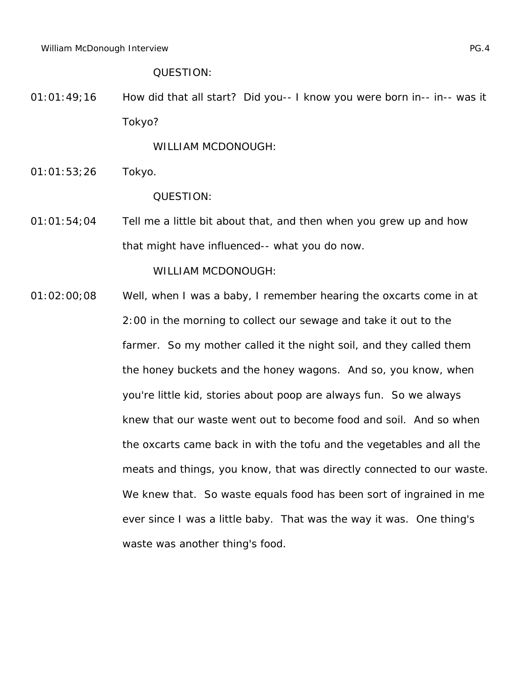01:01:49;16 How did that all start? Did you-- I know you were born in-- in-- was it Tokyo?

WILLIAM MCDONOUGH:

01:01:53;26 Tokyo.

QUESTION:

01:01:54;04 Tell me a little bit about that, and then when you grew up and how that might have influenced-- what you do now.

WILLIAM MCDONOUGH:

01:02:00;08 Well, when I was a baby, I remember hearing the oxcarts come in at 2:00 in the morning to collect our sewage and take it out to the farmer. So my mother called it the night soil, and they called them the honey buckets and the honey wagons. And so, you know, when you're little kid, stories about poop are always fun. So we always knew that our waste went out to become food and soil. And so when the oxcarts came back in with the tofu and the vegetables and all the meats and things, you know, that was directly connected to our waste. We knew that. So waste equals food has been sort of ingrained in me ever since I was a little baby. That was the way it was. One thing's waste was another thing's food.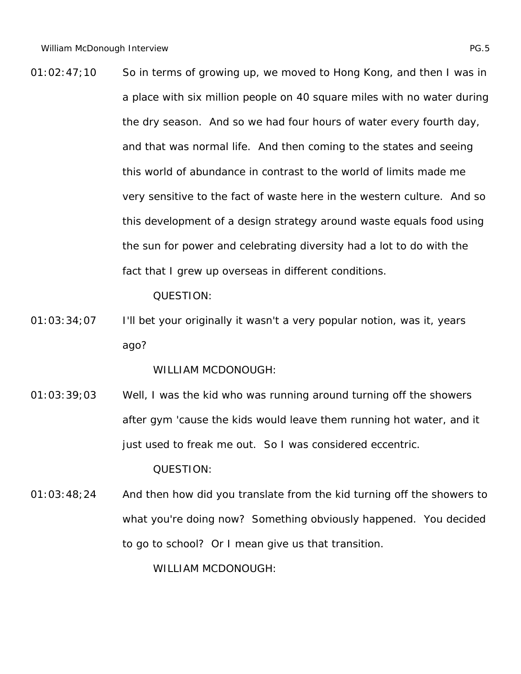01:02:47;10 So in terms of growing up, we moved to Hong Kong, and then I was in a place with six million people on 40 square miles with no water during the dry season. And so we had four hours of water every fourth day, and that was normal life. And then coming to the states and seeing this world of abundance in contrast to the world of limits made me very sensitive to the fact of waste here in the western culture. And so this development of a design strategy around waste equals food using the sun for power and celebrating diversity had a lot to do with the fact that I grew up overseas in different conditions.

QUESTION:

01:03:34;07 I'll bet your originally it wasn't a very popular notion, was it, years ago?

WILLIAM MCDONOUGH:

01:03:39;03 Well, I was the kid who was running around turning off the showers after gym 'cause the kids would leave them running hot water, and it just used to freak me out. So I was considered eccentric.

QUESTION:

01:03:48;24 And then how did you translate from the kid turning off the showers to what you're doing now? Something obviously happened. You decided to go to school? Or I mean give us that transition.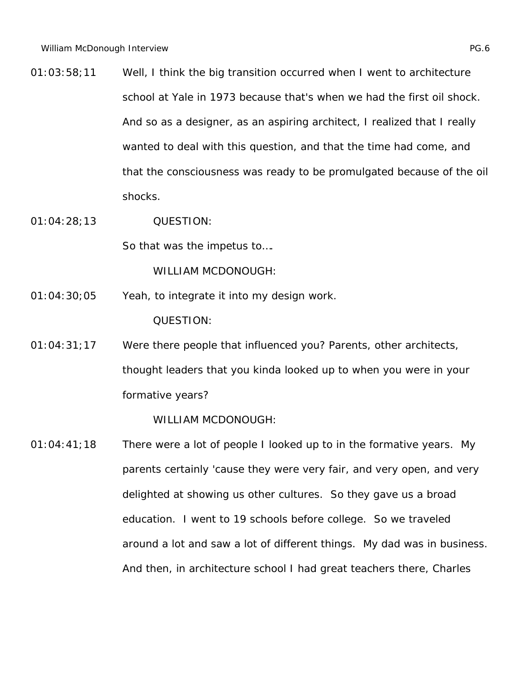- 01:03:58;11 Well, I think the big transition occurred when I went to architecture school at Yale in 1973 because that's when we had the first oil shock. And so as a designer, as an aspiring architect, I realized that I really wanted to deal with this question, and that the time had come, and that the consciousness was ready to be promulgated because of the oil shocks.
- 01:04:28;13 QUESTION:

So that was the impetus to….

WILLIAM MCDONOUGH:

- 01:04:30;05 Yeah, to integrate it into my design work. QUESTION:
- 01:04:31;17 Were there people that influenced you? Parents, other architects, thought leaders that you kinda looked up to when you were in your formative years?

WILLIAM MCDONOUGH:

01:04:41;18 There were a lot of people I looked up to in the formative years. My parents certainly 'cause they were very fair, and very open, and very delighted at showing us other cultures. So they gave us a broad education. I went to 19 schools before college. So we traveled around a lot and saw a lot of different things. My dad was in business. And then, in architecture school I had great teachers there, Charles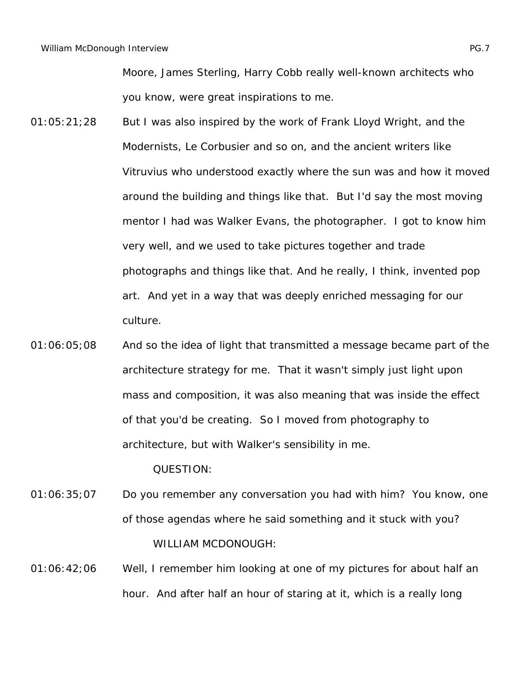Moore, James Sterling, Harry Cobb really well-known architects who you know, were great inspirations to me.

- 01:05:21;28 But I was also inspired by the work of Frank Lloyd Wright, and the Modernists, Le Corbusier and so on, and the ancient writers like Vitruvius who understood exactly where the sun was and how it moved around the building and things like that. But I'd say the most moving mentor I had was Walker Evans, the photographer. I got to know him very well, and we used to take pictures together and trade photographs and things like that. And he really, I think, invented pop art. And yet in a way that was deeply enriched messaging for our culture.
- 01:06:05;08 And so the idea of light that transmitted a message became part of the architecture strategy for me. That it wasn't simply just light upon mass and composition, it was also meaning that was inside the effect of that you'd be creating. So I moved from photography to architecture, but with Walker's sensibility in me.

QUESTION:

- 01:06:35;07 Do you remember any conversation you had with him? You know, one of those agendas where he said something and it stuck with you? WILLIAM MCDONOUGH:
- 01:06:42;06 Well, I remember him looking at one of my pictures for about half an hour. And after half an hour of staring at it, which is a really long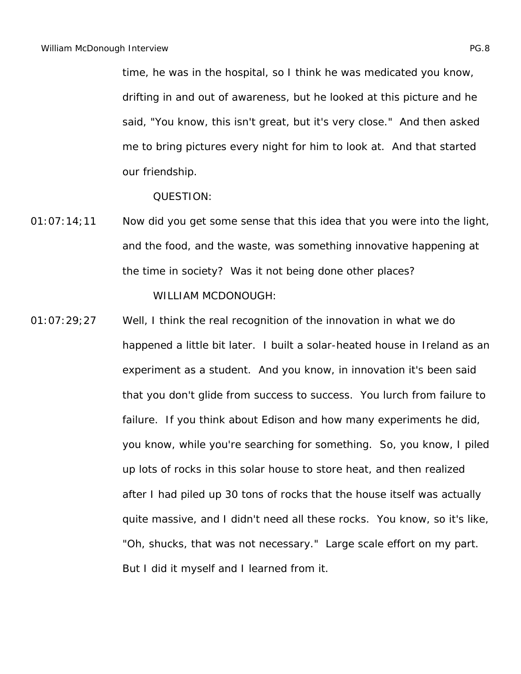time, he was in the hospital, so I think he was medicated you know, drifting in and out of awareness, but he looked at this picture and he said, "You know, this isn't great, but it's very close." And then asked me to bring pictures every night for him to look at. And that started our friendship.

QUESTION:

01:07:14;11 Now did you get some sense that this idea that you were into the light, and the food, and the waste, was something innovative happening at the time in society? Was it not being done other places?

WILLIAM MCDONOUGH:

01:07:29;27 Well, I think the real recognition of the innovation in what we do happened a little bit later. I built a solar-heated house in Ireland as an experiment as a student. And you know, in innovation it's been said that you don't glide from success to success. You lurch from failure to failure. If you think about Edison and how many experiments he did, you know, while you're searching for something. So, you know, I piled up lots of rocks in this solar house to store heat, and then realized after I had piled up 30 tons of rocks that the house itself was actually quite massive, and I didn't need all these rocks. You know, so it's like, "Oh, shucks, that was not necessary." Large scale effort on my part. But I did it myself and I learned from it.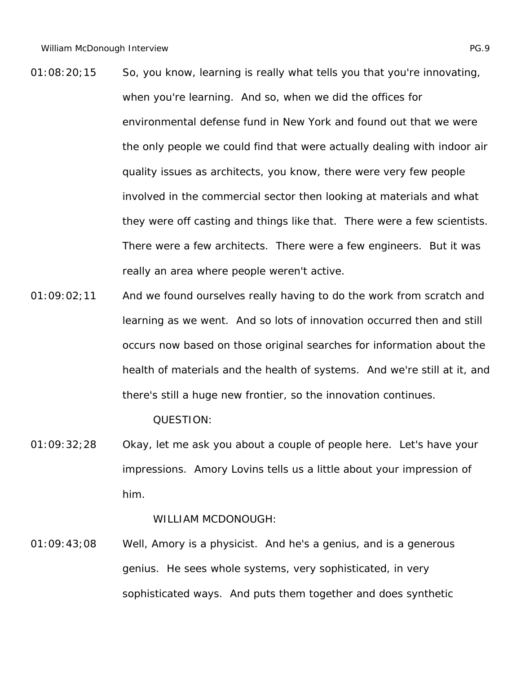- 01:08:20;15 So, you know, learning is really what tells you that you're innovating, when you're learning. And so, when we did the offices for environmental defense fund in New York and found out that we were the only people we could find that were actually dealing with indoor air quality issues as architects, you know, there were very few people involved in the commercial sector then looking at materials and what they were off casting and things like that. There were a few scientists. There were a few architects. There were a few engineers. But it was really an area where people weren't active.
- 01:09:02;11 And we found ourselves really having to do the work from scratch and learning as we went. And so lots of innovation occurred then and still occurs now based on those original searches for information about the health of materials and the health of systems. And we're still at it, and there's still a huge new frontier, so the innovation continues.

01:09:32;28 Okay, let me ask you about a couple of people here. Let's have your impressions. Amory Lovins tells us a little about your impression of him.

WILLIAM MCDONOUGH:

01:09:43;08 Well, Amory is a physicist. And he's a genius, and is a generous genius. He sees whole systems, very sophisticated, in very sophisticated ways. And puts them together and does synthetic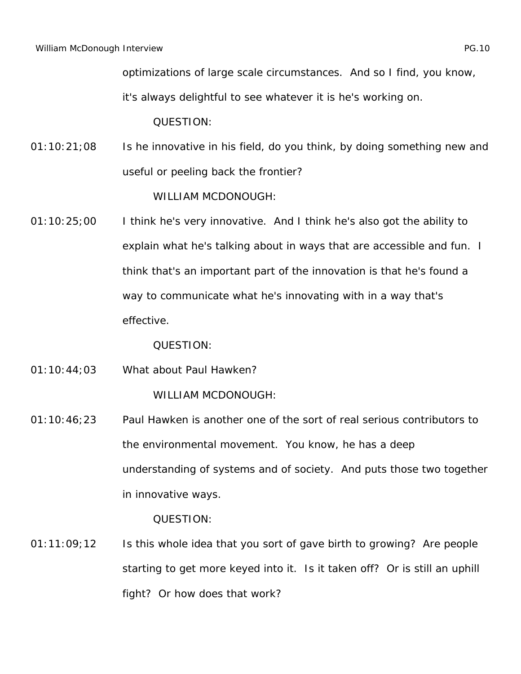optimizations of large scale circumstances. And so I find, you know,

it's always delightful to see whatever it is he's working on.

QUESTION:

01:10:21;08 Is he innovative in his field, do you think, by doing something new and useful or peeling back the frontier?

WILLIAM MCDONOUGH:

01:10:25;00 I think he's very innovative. And I think he's also got the ability to explain what he's talking about in ways that are accessible and fun. I think that's an important part of the innovation is that he's found a way to communicate what he's innovating with in a way that's effective.

QUESTION:

01:10:44;03 What about Paul Hawken?

WILLIAM MCDONOUGH:

01:10:46;23 Paul Hawken is another one of the sort of real serious contributors to the environmental movement. You know, he has a deep understanding of systems and of society. And puts those two together in innovative ways.

QUESTION:

01:11:09;12 Is this whole idea that you sort of gave birth to growing? Are people starting to get more keyed into it. Is it taken off? Or is still an uphill fight? Or how does that work?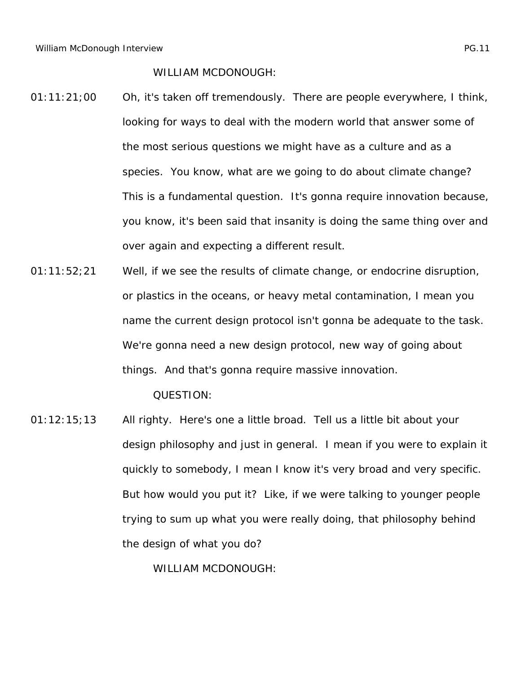WILLIAM MCDONOUGH:

- 01:11:21;00 Oh, it's taken off tremendously. There are people everywhere, I think, looking for ways to deal with the modern world that answer some of the most serious questions we might have as a culture and as a species. You know, what are we going to do about climate change? This is a fundamental question. It's gonna require innovation because, you know, it's been said that insanity is doing the same thing over and over again and expecting a different result.
- 01:11:52;21 Well, if we see the results of climate change, or endocrine disruption, or plastics in the oceans, or heavy metal contamination, I mean you name the current design protocol isn't gonna be adequate to the task. We're gonna need a new design protocol, new way of going about things. And that's gonna require massive innovation.

QUESTION:

01:12:15;13 All righty. Here's one a little broad. Tell us a little bit about your design philosophy and just in general. I mean if you were to explain it quickly to somebody, I mean I know it's very broad and very specific. But how would you put it? Like, if we were talking to younger people trying to sum up what you were really doing, that philosophy behind the design of what you do?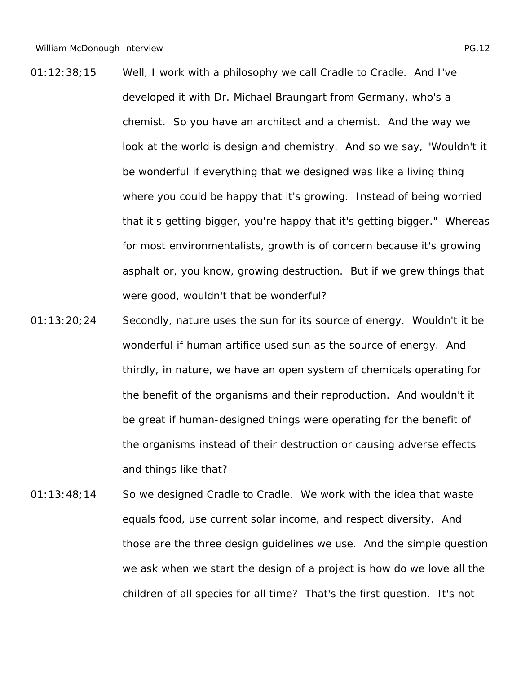- 01:12:38;15 Well, I work with a philosophy we call Cradle to Cradle. And I've developed it with Dr. Michael Braungart from Germany, who's a chemist. So you have an architect and a chemist. And the way we look at the world is design and chemistry. And so we say, "Wouldn't it be wonderful if everything that we designed was like a living thing where you could be happy that it's growing. Instead of being worried that it's getting bigger, you're happy that it's getting bigger." Whereas for most environmentalists, growth is of concern because it's growing asphalt or, you know, growing destruction. But if we grew things that were good, wouldn't that be wonderful?
- 01:13:20;24 Secondly, nature uses the sun for its source of energy. Wouldn't it be wonderful if human artifice used sun as the source of energy. And thirdly, in nature, we have an open system of chemicals operating for the benefit of the organisms and their reproduction. And wouldn't it be great if human-designed things were operating for the benefit of the organisms instead of their destruction or causing adverse effects and things like that?
- 01:13:48;14 So we designed Cradle to Cradle. We work with the idea that waste equals food, use current solar income, and respect diversity. And those are the three design guidelines we use. And the simple question we ask when we start the design of a project is how do we love all the children of all species for all time? That's the first question. It's not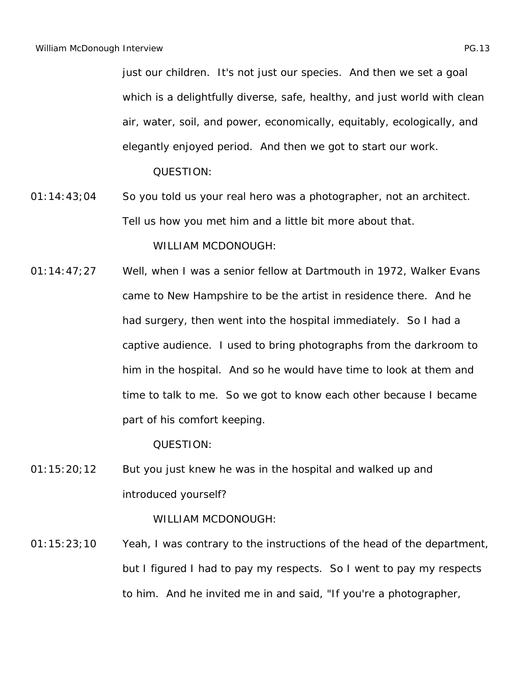just our children. It's not just our species. And then we set a goal which is a delightfully diverse, safe, healthy, and just world with clean air, water, soil, and power, economically, equitably, ecologically, and elegantly enjoyed period. And then we got to start our work.

QUESTION:

01:14:43;04 So you told us your real hero was a photographer, not an architect. Tell us how you met him and a little bit more about that.

WILLIAM MCDONOUGH:

01:14:47;27 Well, when I was a senior fellow at Dartmouth in 1972, Walker Evans came to New Hampshire to be the artist in residence there. And he had surgery, then went into the hospital immediately. So I had a captive audience. I used to bring photographs from the darkroom to him in the hospital. And so he would have time to look at them and time to talk to me. So we got to know each other because I became part of his comfort keeping.

QUESTION:

01:15:20;12 But you just knew he was in the hospital and walked up and introduced yourself?

WILLIAM MCDONOUGH:

01:15:23;10 Yeah, I was contrary to the instructions of the head of the department, but I figured I had to pay my respects. So I went to pay my respects to him. And he invited me in and said, "If you're a photographer,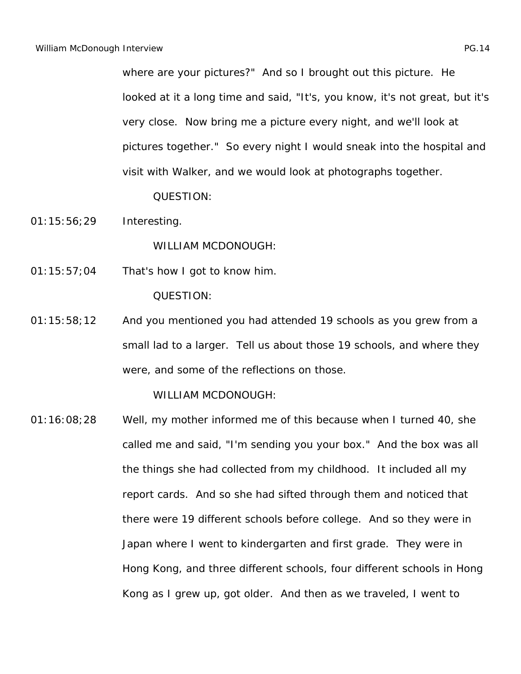where are your pictures?" And so I brought out this picture. He looked at it a long time and said, "It's, you know, it's not great, but it's very close. Now bring me a picture every night, and we'll look at pictures together." So every night I would sneak into the hospital and visit with Walker, and we would look at photographs together.

QUESTION:

01:15:56;29 Interesting.

WILLIAM MCDONOUGH:

01:15:57;04 That's how I got to know him.

QUESTION:

01:15:58;12 And you mentioned you had attended 19 schools as you grew from a small lad to a larger. Tell us about those 19 schools, and where they were, and some of the reflections on those.

WILLIAM MCDONOUGH:

01:16:08;28 Well, my mother informed me of this because when I turned 40, she called me and said, "I'm sending you your box." And the box was all the things she had collected from my childhood. It included all my report cards. And so she had sifted through them and noticed that there were 19 different schools before college. And so they were in Japan where I went to kindergarten and first grade. They were in Hong Kong, and three different schools, four different schools in Hong Kong as I grew up, got older. And then as we traveled, I went to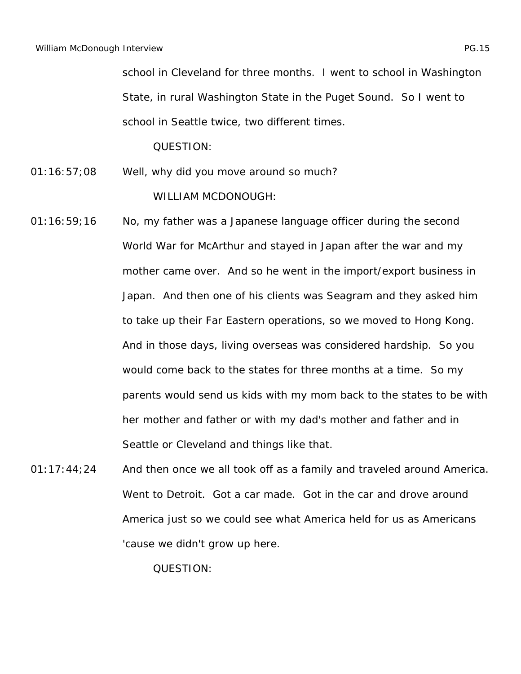school in Cleveland for three months. I went to school in Washington State, in rural Washington State in the Puget Sound. So I went to school in Seattle twice, two different times.

QUESTION:

- 01:16:57;08 Well, why did you move around so much? WILLIAM MCDONOUGH:
- 01:16:59;16 No, my father was a Japanese language officer during the second World War for McArthur and stayed in Japan after the war and my mother came over. And so he went in the import/export business in Japan. And then one of his clients was Seagram and they asked him to take up their Far Eastern operations, so we moved to Hong Kong. And in those days, living overseas was considered hardship. So you would come back to the states for three months at a time. So my parents would send us kids with my mom back to the states to be with her mother and father or with my dad's mother and father and in Seattle or Cleveland and things like that.
- 01:17:44;24 And then once we all took off as a family and traveled around America. Went to Detroit. Got a car made. Got in the car and drove around America just so we could see what America held for us as Americans 'cause we didn't grow up here.

QUESTION: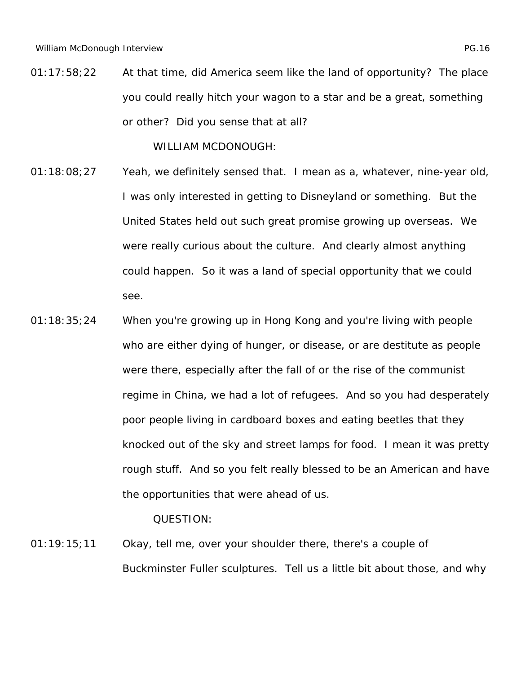01:17:58;22 At that time, did America seem like the land of opportunity? The place you could really hitch your wagon to a star and be a great, something or other? Did you sense that at all?

WILLIAM MCDONOUGH:

- 01:18:08;27 Yeah, we definitely sensed that. I mean as a, whatever, nine-year old, I was only interested in getting to Disneyland or something. But the United States held out such great promise growing up overseas. We were really curious about the culture. And clearly almost anything could happen. So it was a land of special opportunity that we could see.
- 01:18:35;24 When you're growing up in Hong Kong and you're living with people who are either dying of hunger, or disease, or are destitute as people were there, especially after the fall of or the rise of the communist regime in China, we had a lot of refugees. And so you had desperately poor people living in cardboard boxes and eating beetles that they knocked out of the sky and street lamps for food. I mean it was pretty rough stuff. And so you felt really blessed to be an American and have the opportunities that were ahead of us.

QUESTION:

01:19:15;11 Okay, tell me, over your shoulder there, there's a couple of Buckminster Fuller sculptures. Tell us a little bit about those, and why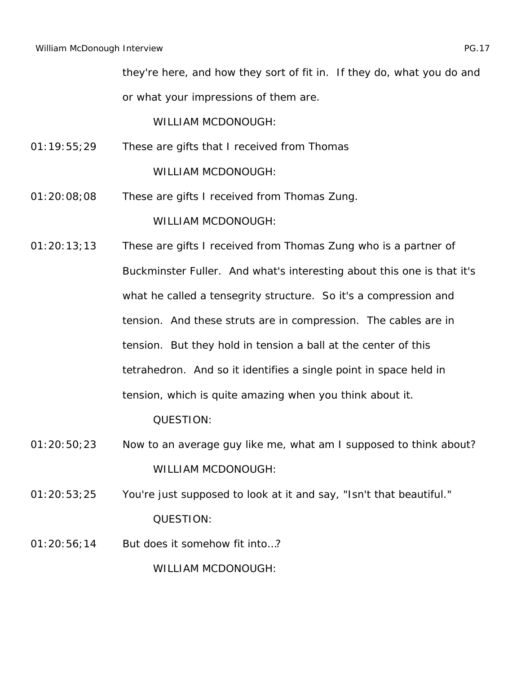they're here, and how they sort of fit in. If they do, what you do and or what your impressions of them are.

WILLIAM MCDONOUGH:

- 01:19:55;29 These are gifts that I received from Thomas WILLIAM MCDONOUGH:
- 01:20:08;08 These are gifts I received from Thomas Zung. WILLIAM MCDONOUGH:
- 01:20:13;13 These are gifts I received from Thomas Zung who is a partner of Buckminster Fuller. And what's interesting about this one is that it's what he called a tensegrity structure. So it's a compression and tension. And these struts are in compression. The cables are in tension. But they hold in tension a ball at the center of this tetrahedron. And so it identifies a single point in space held in tension, which is quite amazing when you think about it. QUESTION:
- 01:20:50;23 Now to an average guy like me, what am I supposed to think about? WILLIAM MCDONOUGH:
- 01:20:53;25 You're just supposed to look at it and say, "Isn't that beautiful." QUESTION:
- 01:20:56;14 But does it somehow fit into…?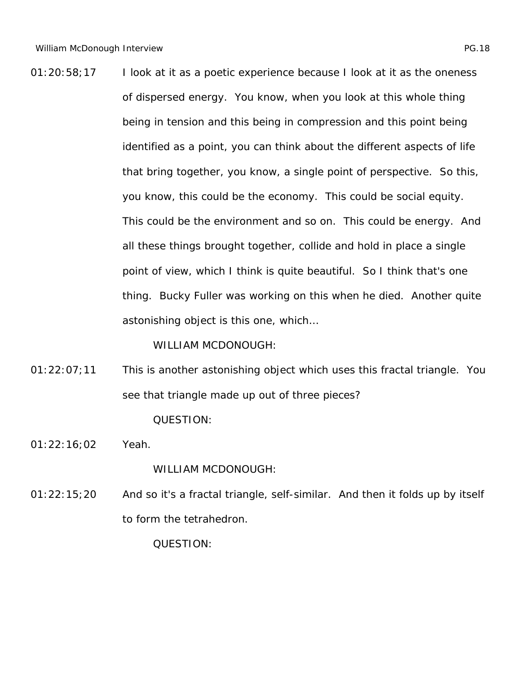01:20:58;17 I look at it as a poetic experience because I look at it as the oneness of dispersed energy. You know, when you look at this whole thing being in tension and this being in compression and this point being identified as a point, you can think about the different aspects of life that bring together, you know, a single point of perspective. So this, you know, this could be the economy. This could be social equity. This could be the environment and so on. This could be energy. And all these things brought together, collide and hold in place a single point of view, which I think is quite beautiful. So I think that's one thing. Bucky Fuller was working on this when he died. Another quite astonishing object is this one, which…

WILLIAM MCDONOUGH:

- 01:22:07;11 This is another astonishing object which uses this fractal triangle. You see that triangle made up out of three pieces? QUESTION:
- 01:22:16;02 Yeah.

WILLIAM MCDONOUGH:

01:22:15;20 And so it's a fractal triangle, self-similar. And then it folds up by itself to form the tetrahedron.

QUESTION: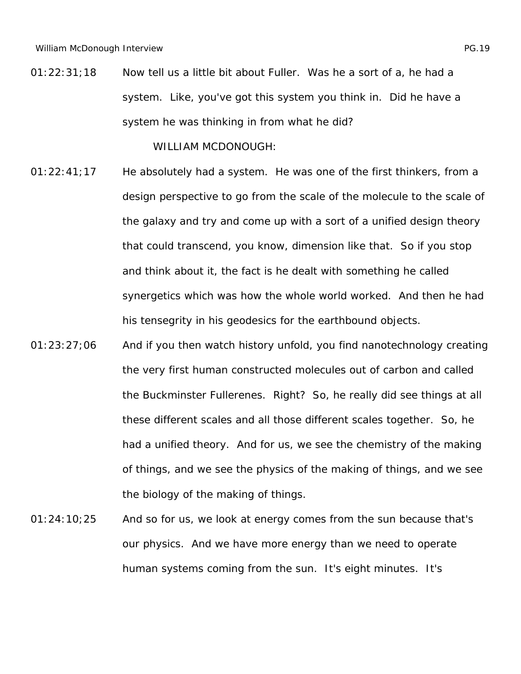01:22:31;18 Now tell us a little bit about Fuller. Was he a sort of a, he had a system. Like, you've got this system you think in. Did he have a system he was thinking in from what he did?

- 01:22:41;17 He absolutely had a system. He was one of the first thinkers, from a design perspective to go from the scale of the molecule to the scale of the galaxy and try and come up with a sort of a unified design theory that could transcend, you know, dimension like that. So if you stop and think about it, the fact is he dealt with something he called synergetics which was how the whole world worked. And then he had his tensegrity in his geodesics for the earthbound objects.
- 01:23:27;06 And if you then watch history unfold, you find nanotechnology creating the very first human constructed molecules out of carbon and called the Buckminster Fullerenes. Right? So, he really did see things at all these different scales and all those different scales together. So, he had a unified theory. And for us, we see the chemistry of the making of things, and we see the physics of the making of things, and we see the biology of the making of things.
- 01:24:10;25 And so for us, we look at energy comes from the sun because that's our physics. And we have more energy than we need to operate human systems coming from the sun. It's eight minutes. It's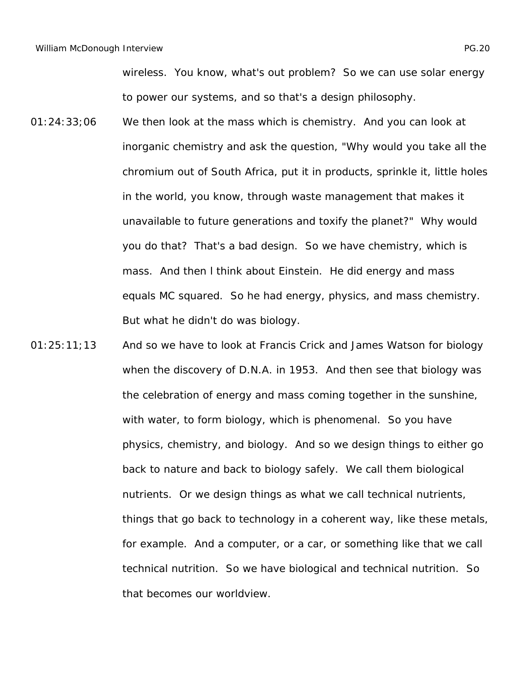wireless. You know, what's out problem? So we can use solar energy to power our systems, and so that's a design philosophy.

- 01:24:33;06 We then look at the mass which is chemistry. And you can look at inorganic chemistry and ask the question, "Why would you take all the chromium out of South Africa, put it in products, sprinkle it, little holes in the world, you know, through waste management that makes it unavailable to future generations and toxify the planet?" Why would you do that? That's a bad design. So we have chemistry, which is mass. And then l think about Einstein. He did energy and mass equals MC squared. So he had energy, physics, and mass chemistry. But what he didn't do was biology.
- 01:25:11;13 And so we have to look at Francis Crick and James Watson for biology when the discovery of D.N.A. in 1953. And then see that biology was the celebration of energy and mass coming together in the sunshine, with water, to form biology, which is phenomenal. So you have physics, chemistry, and biology. And so we design things to either go back to nature and back to biology safely. We call them biological nutrients. Or we design things as what we call technical nutrients, things that go back to technology in a coherent way, like these metals, for example. And a computer, or a car, or something like that we call technical nutrition. So we have biological and technical nutrition. So that becomes our worldview.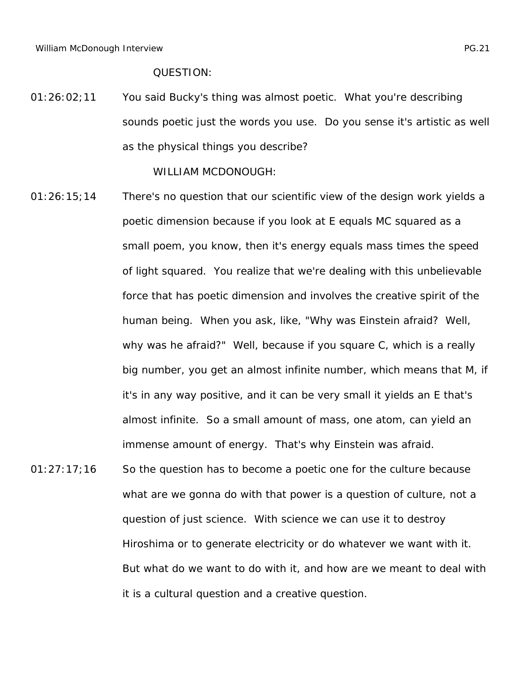01:26:02;11 You said Bucky's thing was almost poetic. What you're describing sounds poetic just the words you use. Do you sense it's artistic as well as the physical things you describe?

- 01:26:15;14 There's no question that our scientific view of the design work yields a poetic dimension because if you look at E equals MC squared as a small poem, you know, then it's energy equals mass times the speed of light squared. You realize that we're dealing with this unbelievable force that has poetic dimension and involves the creative spirit of the human being. When you ask, like, "Why was Einstein afraid? Well, why was he afraid?" Well, because if you square C, which is a really big number, you get an almost infinite number, which means that M, if it's in any way positive, and it can be very small it yields an E that's almost infinite. So a small amount of mass, one atom, can yield an immense amount of energy. That's why Einstein was afraid.
- $01:27:17;16$  So the question has to become a poetic one for the culture because what are we gonna do with that power is a question of culture, not a question of just science. With science we can use it to destroy Hiroshima or to generate electricity or do whatever we want with it. But what do we want to do with it, and how are we meant to deal with it is a cultural question and a creative question.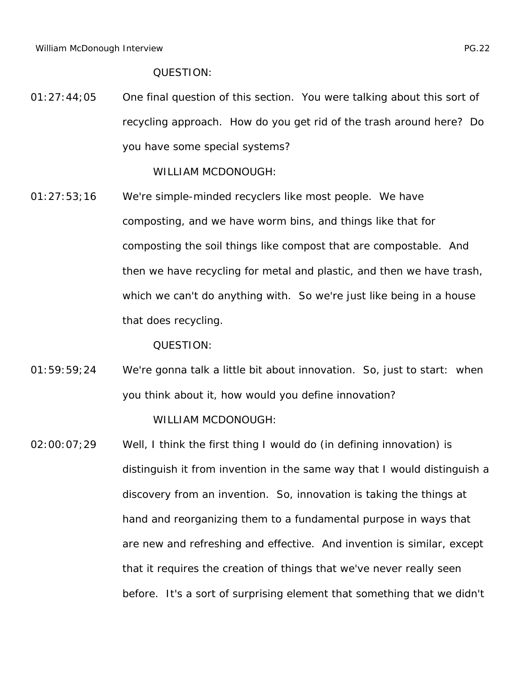01:27:44;05 One final question of this section. You were talking about this sort of recycling approach. How do you get rid of the trash around here? Do you have some special systems?

WILLIAM MCDONOUGH:

01:27:53;16 We're simple-minded recyclers like most people. We have composting, and we have worm bins, and things like that for composting the soil things like compost that are compostable. And then we have recycling for metal and plastic, and then we have trash, which we can't do anything with. So we're just like being in a house that does recycling.

QUESTION:

- 01:59:59;24 We're gonna talk a little bit about innovation. So, just to start: when you think about it, how would you define innovation? WILLIAM MCDONOUGH:
- 02:00:07;29 Well, I think the first thing I would do (in defining innovation) is distinguish it from invention in the same way that I would distinguish a discovery from an invention. So, innovation is taking the things at hand and reorganizing them to a fundamental purpose in ways that are new and refreshing and effective. And invention is similar, except that it requires the creation of things that we've never really seen before. It's a sort of surprising element that something that we didn't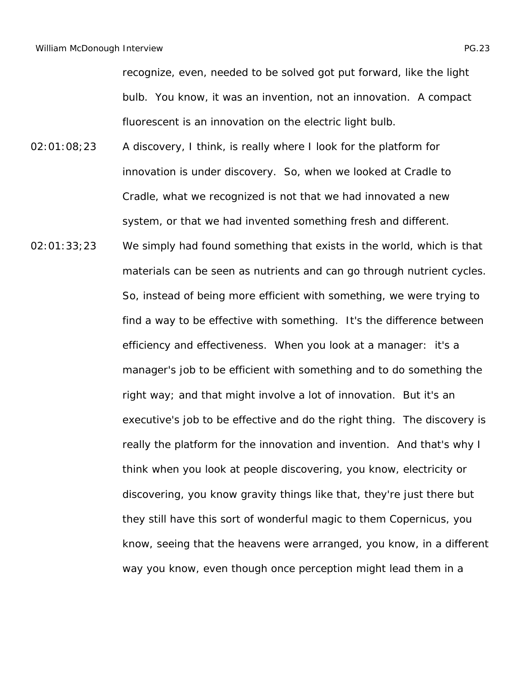recognize, even, needed to be solved got put forward, like the light bulb. You know, it was an invention, not an innovation. A compact fluorescent is an innovation on the electric light bulb.

- 02:01:08;23 A discovery, I think, is really where I look for the platform for innovation is under discovery. So, when we looked at Cradle to Cradle, what we recognized is not that we had innovated a new system, or that we had invented something fresh and different.
- 02:01:33;23 We simply had found something that exists in the world, which is that materials can be seen as nutrients and can go through nutrient cycles. So, instead of being more efficient with something, we were trying to find a way to be effective with something. It's the difference between efficiency and effectiveness. When you look at a manager: it's a manager's job to be efficient with something and to do something the right way; and that might involve a lot of innovation. But it's an executive's job to be effective and do the right thing. The discovery is really the platform for the innovation and invention. And that's why I think when you look at people discovering, you know, electricity or discovering, you know gravity things like that, they're just there but they still have this sort of wonderful magic to them Copernicus, you know, seeing that the heavens were arranged, you know, in a different way you know, even though once perception might lead them in a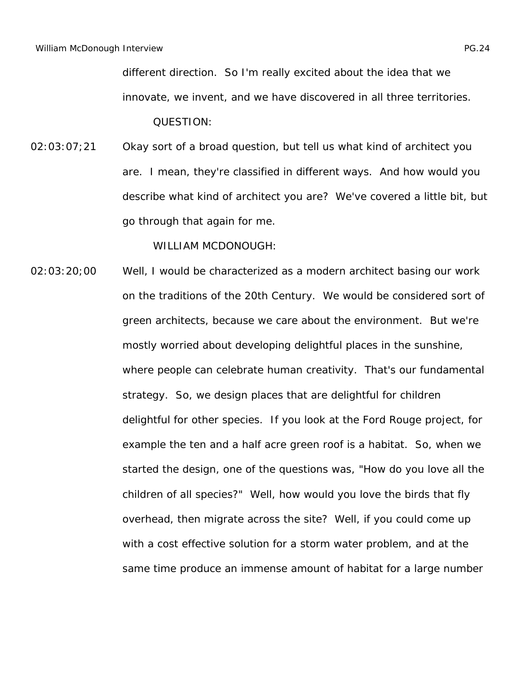different direction. So I'm really excited about the idea that we innovate, we invent, and we have discovered in all three territories. QUESTION:

02:03:07;21 Okay sort of a broad question, but tell us what kind of architect you are. I mean, they're classified in different ways. And how would you describe what kind of architect you are? We've covered a little bit, but go through that again for me.

WILLIAM MCDONOUGH:

02:03:20;00 Well, I would be characterized as a modern architect basing our work on the traditions of the 20th Century. We would be considered sort of green architects, because we care about the environment. But we're mostly worried about developing delightful places in the sunshine, where people can celebrate human creativity. That's our fundamental strategy. So, we design places that are delightful for children delightful for other species. If you look at the Ford Rouge project, for example the ten and a half acre green roof is a habitat. So, when we started the design, one of the questions was, "How do you love all the children of all species?" Well, how would you love the birds that fly overhead, then migrate across the site? Well, if you could come up with a cost effective solution for a storm water problem, and at the same time produce an immense amount of habitat for a large number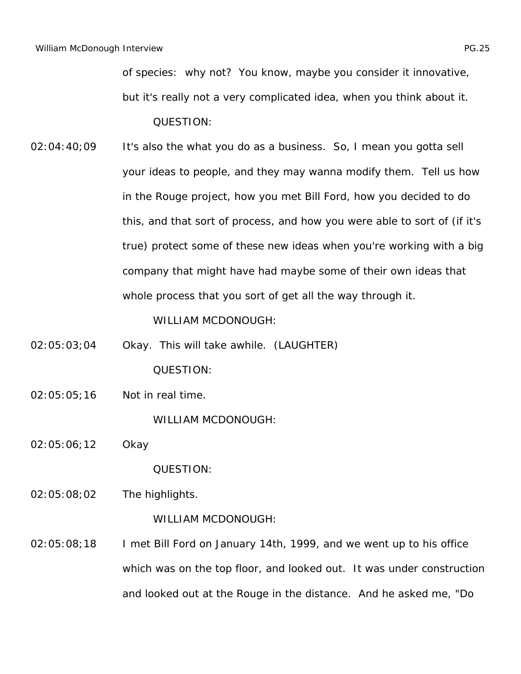of species: why not? You know, maybe you consider it innovative, but it's really not a very complicated idea, when you think about it. QUESTION:

02:04:40;09 It's also the what you do as a business. So, I mean you gotta sell your ideas to people, and they may wanna modify them. Tell us how in the Rouge project, how you met Bill Ford, how you decided to do this, and that sort of process, and how you were able to sort of (if it's true) protect some of these new ideas when you're working with a big company that might have had maybe some of their own ideas that whole process that you sort of get all the way through it.

WILLIAM MCDONOUGH:

- 02:05:03;04 Okay. This will take awhile. (LAUGHTER) QUESTION:
- 02:05:05;16 Not in real time.

WILLIAM MCDONOUGH:

02:05:06;12 Okay

QUESTION:

02:05:08;02 The highlights.

WILLIAM MCDONOUGH:

02:05:08;18 I met Bill Ford on January 14th, 1999, and we went up to his office which was on the top floor, and looked out. It was under construction and looked out at the Rouge in the distance. And he asked me, "Do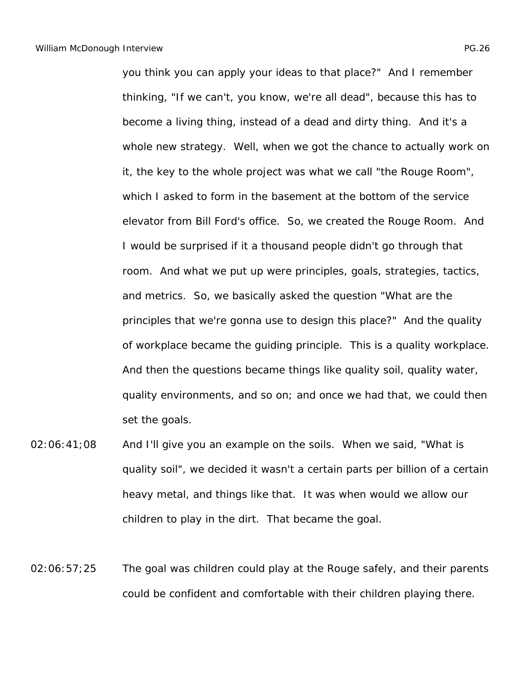you think you can apply your ideas to that place?" And I remember thinking, "If we can't, you know, we're all dead", because this has to become a living thing, instead of a dead and dirty thing. And it's a whole new strategy. Well, when we got the chance to actually work on it, the key to the whole project was what we call "the Rouge Room", which I asked to form in the basement at the bottom of the service elevator from Bill Ford's office. So, we created the Rouge Room. And I would be surprised if it a thousand people didn't go through that room. And what we put up were principles, goals, strategies, tactics, and metrics. So, we basically asked the question "What are the principles that we're gonna use to design this place?" And the quality of workplace became the guiding principle. This is a quality workplace. And then the questions became things like quality soil, quality water, quality environments, and so on; and once we had that, we could then set the goals.

- 02:06:41;08 And I'll give you an example on the soils. When we said, "What is quality soil", we decided it wasn't a certain parts per billion of a certain heavy metal, and things like that. It was when would we allow our children to play in the dirt. That became the goal.
- 02:06:57;25 The goal was children could play at the Rouge safely, and their parents could be confident and comfortable with their children playing there.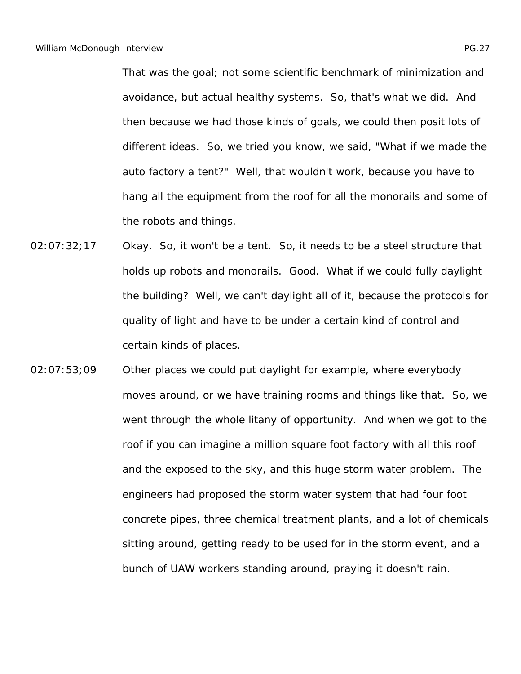That was the goal; not some scientific benchmark of minimization and avoidance, but actual healthy systems. So, that's what we did. And then because we had those kinds of goals, we could then posit lots of different ideas. So, we tried you know, we said, "What if we made the auto factory a tent?" Well, that wouldn't work, because you have to hang all the equipment from the roof for all the monorails and some of the robots and things.

- 02:07:32;17 Okay. So, it won't be a tent. So, it needs to be a steel structure that holds up robots and monorails. Good. What if we could fully daylight the building? Well, we can't daylight all of it, because the protocols for quality of light and have to be under a certain kind of control and certain kinds of places.
- 02:07:53;09 Other places we could put daylight for example, where everybody moves around, or we have training rooms and things like that. So, we went through the whole litany of opportunity. And when we got to the roof if you can imagine a million square foot factory with all this roof and the exposed to the sky, and this huge storm water problem. The engineers had proposed the storm water system that had four foot concrete pipes, three chemical treatment plants, and a lot of chemicals sitting around, getting ready to be used for in the storm event, and a bunch of UAW workers standing around, praying it doesn't rain.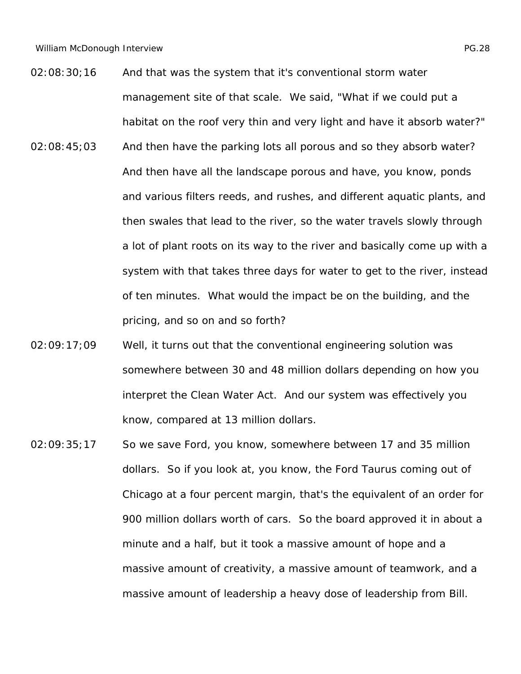- 02:08:30;16 And that was the system that it's conventional storm water management site of that scale. We said, "What if we could put a habitat on the roof very thin and very light and have it absorb water?"
- 02:08:45;03 And then have the parking lots all porous and so they absorb water? And then have all the landscape porous and have, you know, ponds and various filters reeds, and rushes, and different aquatic plants, and then swales that lead to the river, so the water travels slowly through a lot of plant roots on its way to the river and basically come up with a system with that takes three days for water to get to the river, instead of ten minutes. What would the impact be on the building, and the pricing, and so on and so forth?
- 02:09:17;09 Well, it turns out that the conventional engineering solution was somewhere between 30 and 48 million dollars depending on how you interpret the Clean Water Act. And our system was effectively you know, compared at 13 million dollars.
- 02:09:35;17 So we save Ford, you know, somewhere between 17 and 35 million dollars. So if you look at, you know, the Ford Taurus coming out of Chicago at a four percent margin, that's the equivalent of an order for 900 million dollars worth of cars. So the board approved it in about a minute and a half, but it took a massive amount of hope and a massive amount of creativity, a massive amount of teamwork, and a massive amount of leadership a heavy dose of leadership from Bill.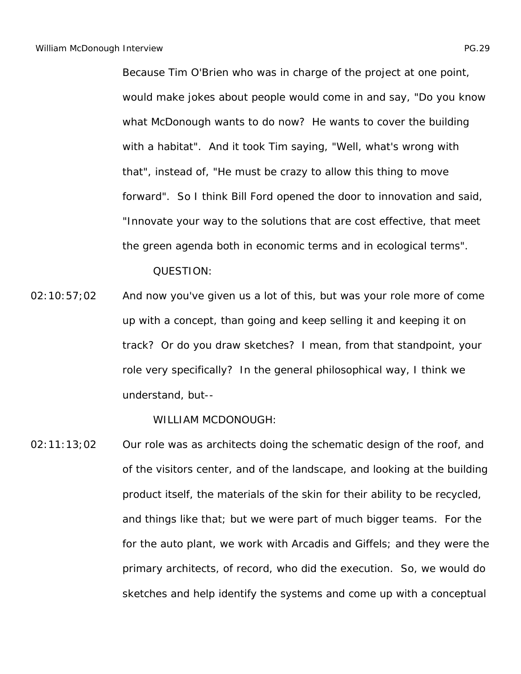Because Tim O'Brien who was in charge of the project at one point, would make jokes about people would come in and say, "Do you know what McDonough wants to do now? He wants to cover the building with a habitat". And it took Tim saying, "Well, what's wrong with that", instead of, "He must be crazy to allow this thing to move forward". So I think Bill Ford opened the door to innovation and said, "Innovate your way to the solutions that are cost effective, that meet the green agenda both in economic terms and in ecological terms".

QUESTION:

02:10:57;02 And now you've given us a lot of this, but was your role more of come up with a concept, than going and keep selling it and keeping it on track? Or do you draw sketches? I mean, from that standpoint, your role very specifically? In the general philosophical way, I think we understand, but--

WILLIAM MCDONOUGH:

02:11:13;02 Our role was as architects doing the schematic design of the roof, and of the visitors center, and of the landscape, and looking at the building product itself, the materials of the skin for their ability to be recycled, and things like that; but we were part of much bigger teams. For the for the auto plant, we work with Arcadis and Giffels; and they were the primary architects, of record, who did the execution. So, we would do sketches and help identify the systems and come up with a conceptual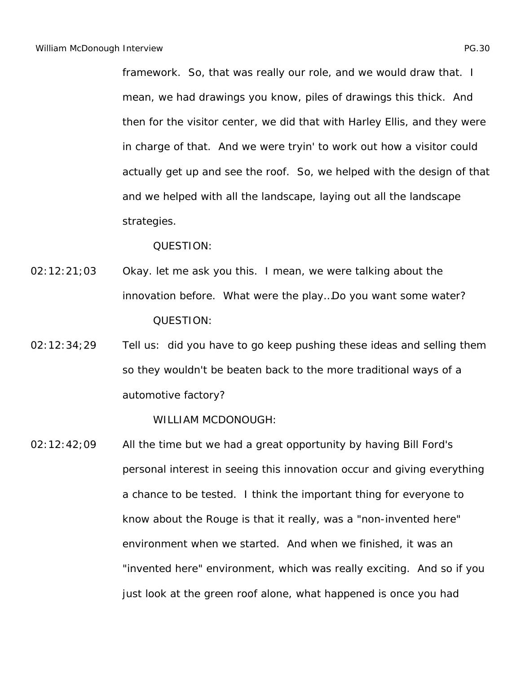framework. So, that was really our role, and we would draw that. I mean, we had drawings you know, piles of drawings this thick. And then for the visitor center, we did that with Harley Ellis, and they were in charge of that. And we were tryin' to work out how a visitor could actually get up and see the roof. So, we helped with the design of that and we helped with all the landscape, laying out all the landscape strategies.

QUESTION:

- 02:12:21;03 Okay. let me ask you this. I mean, we were talking about the innovation before. What were the play…Do you want some water? QUESTION:
- 02:12:34;29 Tell us: did you have to go keep pushing these ideas and selling them so they wouldn't be beaten back to the more traditional ways of a automotive factory?

WILLIAM MCDONOUGH:

02:12:42;09 All the time but we had a great opportunity by having Bill Ford's personal interest in seeing this innovation occur and giving everything a chance to be tested. I think the important thing for everyone to know about the Rouge is that it really, was a "non-invented here" environment when we started. And when we finished, it was an "invented here" environment, which was really exciting. And so if you just look at the green roof alone, what happened is once you had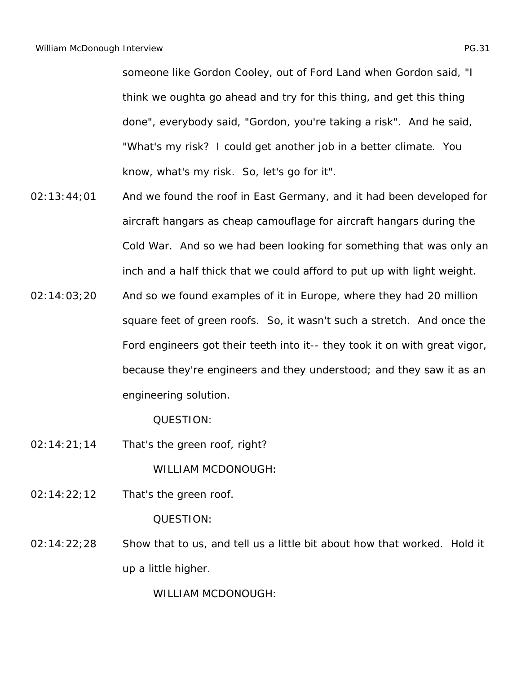someone like Gordon Cooley, out of Ford Land when Gordon said, "I think we oughta go ahead and try for this thing, and get this thing done", everybody said, "Gordon, you're taking a risk". And he said, "What's my risk? I could get another job in a better climate. You know, what's my risk. So, let's go for it".

- 02:13:44;01 And we found the roof in East Germany, and it had been developed for aircraft hangars as cheap camouflage for aircraft hangars during the Cold War. And so we had been looking for something that was only an inch and a half thick that we could afford to put up with light weight.
- 02:14:03;20 And so we found examples of it in Europe, where they had 20 million square feet of green roofs. So, it wasn't such a stretch. And once the Ford engineers got their teeth into it-- they took it on with great vigor, because they're engineers and they understood; and they saw it as an engineering solution.

QUESTION:

02:14:21;14 That's the green roof, right?

WILLIAM MCDONOUGH:

02:14:22;12 That's the green roof.

QUESTION:

02:14:22;28 Show that to us, and tell us a little bit about how that worked. Hold it up a little higher.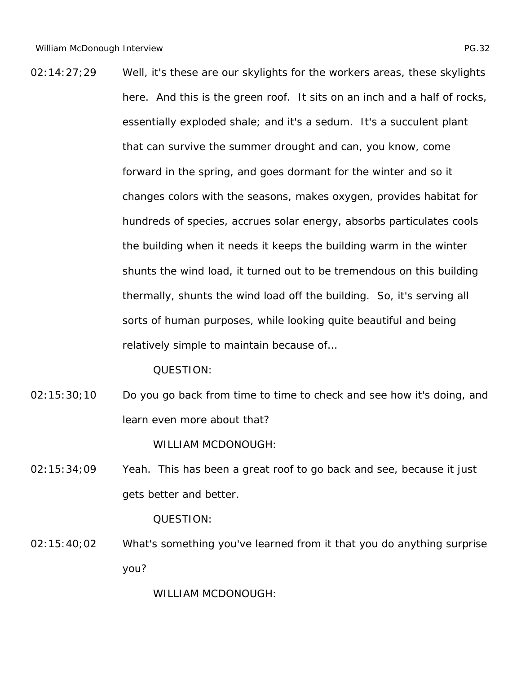02:14:27;29 Well, it's these are our skylights for the workers areas, these skylights here. And this is the green roof. It sits on an inch and a half of rocks, essentially exploded shale; and it's a sedum. It's a succulent plant that can survive the summer drought and can, you know, come forward in the spring, and goes dormant for the winter and so it changes colors with the seasons, makes oxygen, provides habitat for hundreds of species, accrues solar energy, absorbs particulates cools the building when it needs it keeps the building warm in the winter shunts the wind load, it turned out to be tremendous on this building thermally, shunts the wind load off the building. So, it's serving all sorts of human purposes, while looking quite beautiful and being relatively simple to maintain because of…

QUESTION:

02:15:30;10 Do you go back from time to time to check and see how it's doing, and learn even more about that?

WILLIAM MCDONOUGH:

02:15:34;09 Yeah. This has been a great roof to go back and see, because it just gets better and better.

QUESTION:

02:15:40;02 What's something you've learned from it that you do anything surprise you?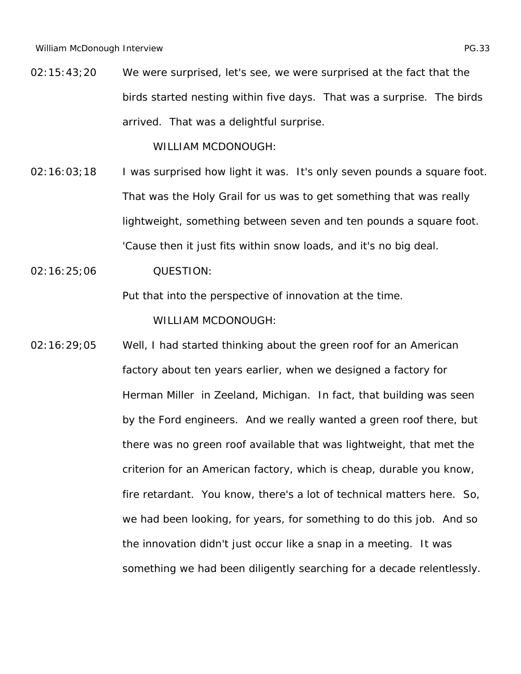02:15:43;20 We were surprised, let's see, we were surprised at the fact that the birds started nesting within five days. That was a surprise. The birds arrived. That was a delightful surprise.

WILLIAM MCDONOUGH:

- 02:16:03;18 I was surprised how light it was. It's only seven pounds a square foot. That was the Holy Grail for us was to get something that was really lightweight, something between seven and ten pounds a square foot. 'Cause then it just fits within snow loads, and it's no big deal.
- 02:16:25;06 QUESTION:

Put that into the perspective of innovation at the time.

WILLIAM MCDONOUGH:

02:16:29;05 Well, I had started thinking about the green roof for an American factory about ten years earlier, when we designed a factory for Herman Miller in Zeeland, Michigan. In fact, that building was seen by the Ford engineers. And we really wanted a green roof there, but there was no green roof available that was lightweight, that met the criterion for an American factory, which is cheap, durable you know, fire retardant. You know, there's a lot of technical matters here. So, we had been looking, for years, for something to do this job. And so the innovation didn't just occur like a snap in a meeting. It was something we had been diligently searching for a decade relentlessly.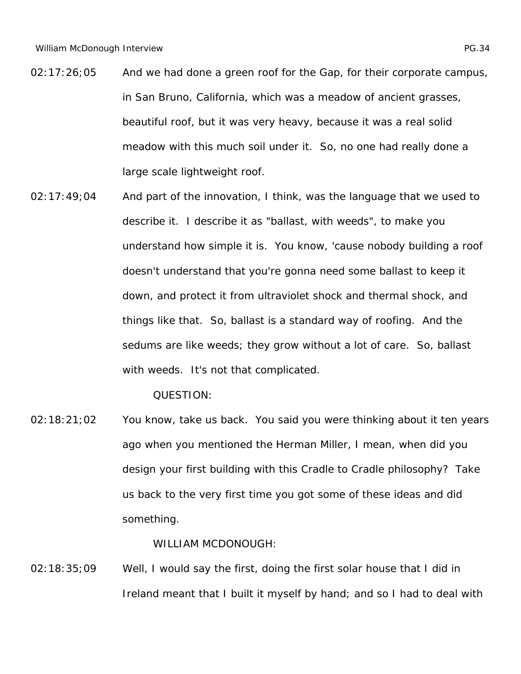- 02:17:26;05 And we had done a green roof for the Gap, for their corporate campus, in San Bruno, California, which was a meadow of ancient grasses, beautiful roof, but it was very heavy, because it was a real solid meadow with this much soil under it. So, no one had really done a large scale lightweight roof.
- 02:17:49;04 And part of the innovation, I think, was the language that we used to describe it. I describe it as "ballast, with weeds", to make you understand how simple it is. You know, 'cause nobody building a roof doesn't understand that you're gonna need some ballast to keep it down, and protect it from ultraviolet shock and thermal shock, and things like that. So, ballast is a standard way of roofing. And the sedums are like weeds; they grow without a lot of care. So, ballast with weeds. It's not that complicated.

02:18:21;02 You know, take us back. You said you were thinking about it ten years ago when you mentioned the Herman Miller, I mean, when did you design your first building with this Cradle to Cradle philosophy? Take us back to the very first time you got some of these ideas and did something.

WILLIAM MCDONOUGH:

02:18:35;09 Well, I would say the first, doing the first solar house that I did in Ireland meant that I built it myself by hand; and so I had to deal with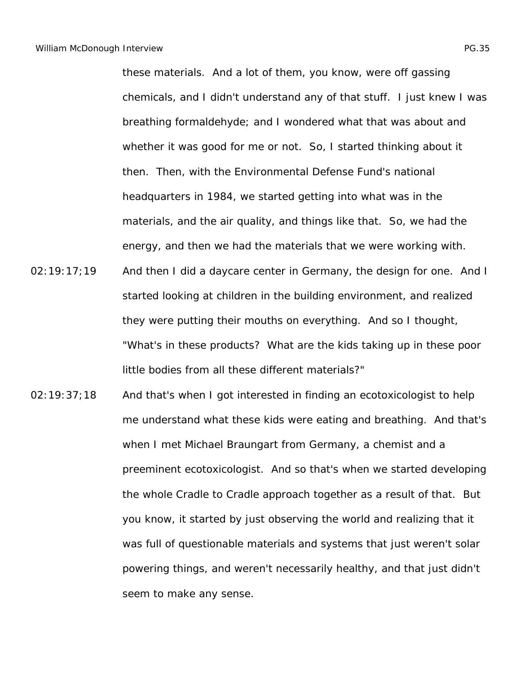these materials. And a lot of them, you know, were off gassing chemicals, and I didn't understand any of that stuff. I just knew I was breathing formaldehyde; and I wondered what that was about and whether it was good for me or not. So, I started thinking about it then. Then, with the Environmental Defense Fund's national headquarters in 1984, we started getting into what was in the materials, and the air quality, and things like that. So, we had the energy, and then we had the materials that we were working with.

- 02:19:17;19 And then I did a daycare center in Germany, the design for one. And I started looking at children in the building environment, and realized they were putting their mouths on everything. And so I thought, "What's in these products? What are the kids taking up in these poor little bodies from all these different materials?"
- 02:19:37;18 And that's when I got interested in finding an ecotoxicologist to help me understand what these kids were eating and breathing. And that's when I met Michael Braungart from Germany, a chemist and a preeminent ecotoxicologist. And so that's when we started developing the whole Cradle to Cradle approach together as a result of that. But you know, it started by just observing the world and realizing that it was full of questionable materials and systems that just weren't solar powering things, and weren't necessarily healthy, and that just didn't seem to make any sense.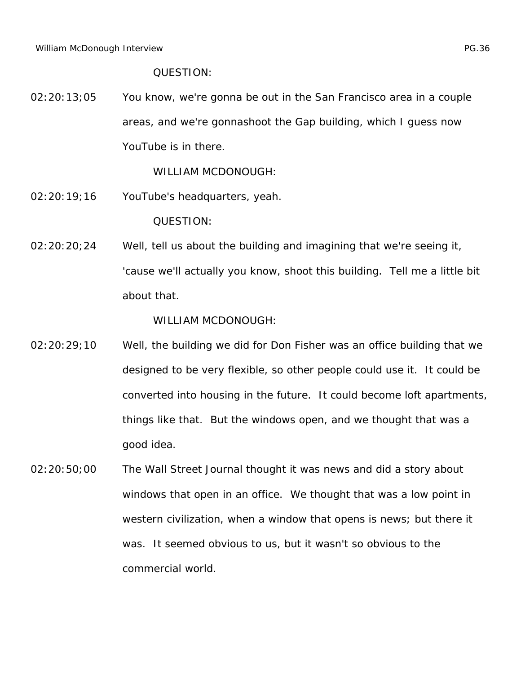02:20:13;05 You know, we're gonna be out in the San Francisco area in a couple areas, and we're gonnashoot the Gap building, which I guess now YouTube is in there.

WILLIAM MCDONOUGH:

- 02:20:19;16 YouTube's headquarters, yeah. QUESTION:
- 02:20:20;24 Well, tell us about the building and imagining that we're seeing it, 'cause we'll actually you know, shoot this building. Tell me a little bit about that.

- 02:20:29;10 Well, the building we did for Don Fisher was an office building that we designed to be very flexible, so other people could use it. It could be converted into housing in the future. It could become loft apartments, things like that. But the windows open, and we thought that was a good idea.
- 02:20:50;00 *The Wall Street Journal* thought it was news and did a story about windows that open in an office. We thought that was a low point in western civilization, when a window that opens is news; but there it was. It seemed obvious to us, but it wasn't so obvious to the commercial world.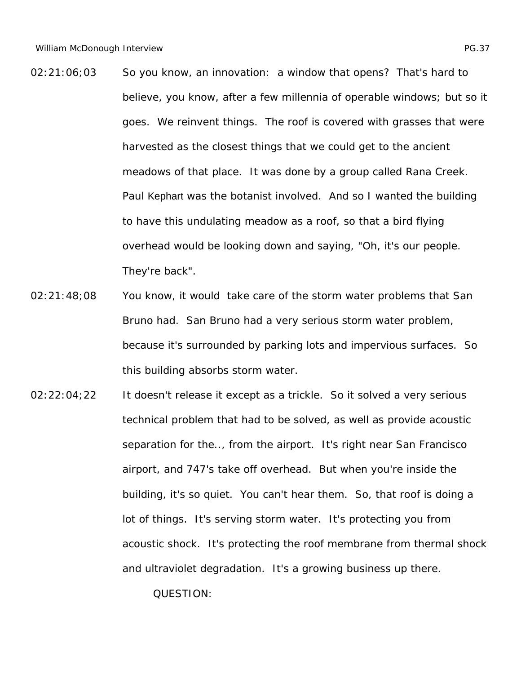- 02:21:06;03 So you know, an innovation: a window that opens? That's hard to believe, you know, after a few millennia of operable windows; but so it goes. We reinvent things. The roof is covered with grasses that were harvested as the closest things that we could get to the ancient meadows of that place. It was done by a group called Rana Creek. Paul Kephart was the botanist involved. And so I wanted the building to have this undulating meadow as a roof, so that a bird flying overhead would be looking down and saying, "Oh, it's our people. They're back".
- 02:21:48;08 You know, it would take care of the storm water problems that San Bruno had. San Bruno had a very serious storm water problem, because it's surrounded by parking lots and impervious surfaces. So this building absorbs storm water.
- 02:22:04;22 It doesn't release it except as a trickle. So it solved a very serious technical problem that had to be solved, as well as provide acoustic separation for the.., from the airport. It's right near San Francisco airport, and 747's take off overhead. But when you're inside the building, it's so quiet. You can't hear them. So, that roof is doing a lot of things. It's serving storm water. It's protecting you from acoustic shock. It's protecting the roof membrane from thermal shock and ultraviolet degradation. It's a growing business up there.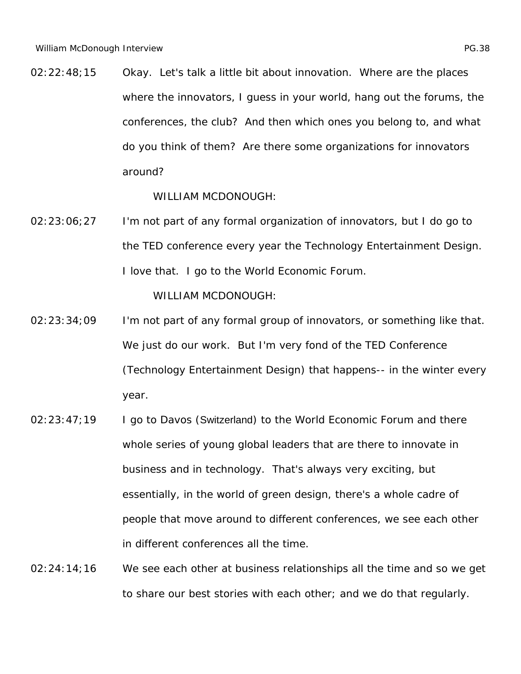02:22:48;15 Okay. Let's talk a little bit about innovation. Where are the places where the innovators, I guess in your world, hang out the forums, the conferences, the club? And then which ones you belong to, and what do you think of them? Are there some organizations for innovators around?

WILLIAM MCDONOUGH:

02:23:06;27 I'm not part of any formal organization of innovators, but I do go to the TED conference every year the Technology Entertainment Design. I love that. I go to the World Economic Forum.

- 02:23:34;09 I'm not part of any formal group of innovators, or something like that. We just do our work. But I'm very fond of the TED Conference (Technology Entertainment Design) that happens-- in the winter every year.
- 02:23:47;19 I go to Davos (Switzerland) to the World Economic Forum and there whole series of young global leaders that are there to innovate in business and in technology. That's always very exciting, but essentially, in the world of green design, there's a whole cadre of people that move around to different conferences, we see each other in different conferences all the time.
- 02:24:14;16 We see each other at business relationships all the time and so we get to share our best stories with each other; and we do that regularly.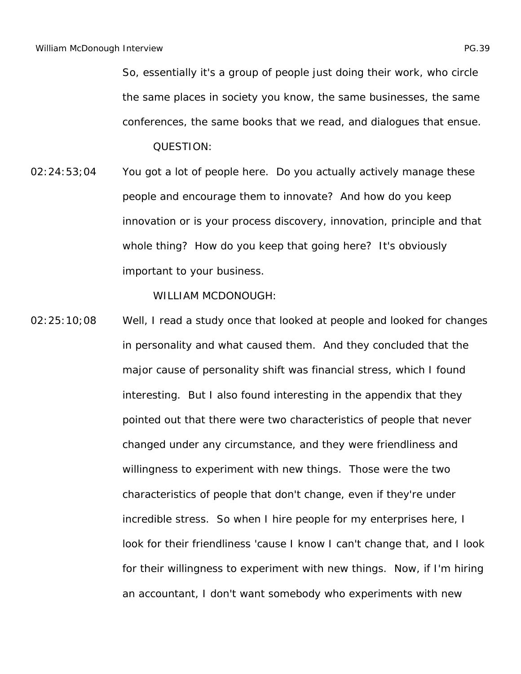So, essentially it's a group of people just doing their work, who circle the same places in society you know, the same businesses, the same conferences, the same books that we read, and dialogues that ensue. QUESTION:

02:24:53;04 You got a lot of people here. Do you actually actively manage these people and encourage them to innovate? And how do you keep innovation or is your process discovery, innovation, principle and that whole thing? How do you keep that going here? It's obviously important to your business.

WILLIAM MCDONOUGH:

02:25:10;08 Well, I read a study once that looked at people and looked for changes in personality and what caused them. And they concluded that the major cause of personality shift was financial stress, which I found interesting. But I also found interesting in the appendix that they pointed out that there were two characteristics of people that never changed under any circumstance, and they were friendliness and willingness to experiment with new things. Those were the two characteristics of people that don't change, even if they're under incredible stress. So when I hire people for my enterprises here, I look for their friendliness 'cause I know I can't change that, and I look for their willingness to experiment with new things. Now, if I'm hiring an accountant, I don't want somebody who experiments with new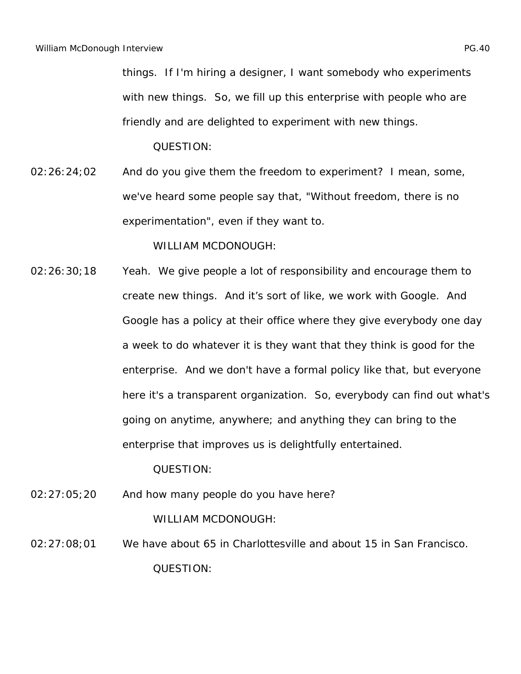things. If I'm hiring a designer, I want somebody who experiments with new things. So, we fill up this enterprise with people who are friendly and are delighted to experiment with new things.

QUESTION:

 $02:26:24;02$  And do you give them the freedom to experiment? I mean, some, we've heard some people say that, "Without freedom, there is no experimentation", even if they want to.

WILLIAM MCDONOUGH:

02:26:30;18 Yeah. We give people a lot of responsibility and encourage them to create new things. And it's sort of like, we work with Google. And Google has a policy at their office where they give everybody one day a week to do whatever it is they want that they think is good for the enterprise. And we don't have a formal policy like that, but everyone here it's a transparent organization. So, everybody can find out what's going on anytime, anywhere; and anything they can bring to the enterprise that improves us is delightfully entertained.

QUESTION:

02:27:05;20 And how many people do you have here?

WILLIAM MCDONOUGH:

02:27:08;01 We have about 65 in Charlottesville and about 15 in San Francisco. QUESTION: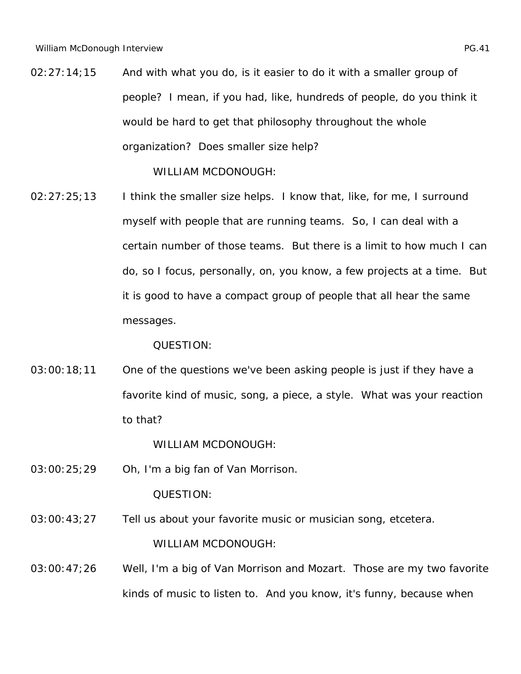02:27:14;15 And with what you do, is it easier to do it with a smaller group of people? I mean, if you had, like, hundreds of people, do you think it would be hard to get that philosophy throughout the whole organization? Does smaller size help?

WILLIAM MCDONOUGH:

02:27:25;13 I think the smaller size helps. I know that, like, for me, I surround myself with people that are running teams. So, I can deal with a certain number of those teams. But there is a limit to how much I can do, so I focus, personally, on, you know, a few projects at a time. But it is good to have a compact group of people that all hear the same messages.

QUESTION:

03:00:18;11 One of the questions we've been asking people is just if they have a favorite kind of music, song, a piece, a style. What was your reaction to that?

WILLIAM MCDONOUGH:

03:00:25;29 Oh, I'm a big fan of Van Morrison.

QUESTION:

- 03:00:43;27 Tell us about your favorite music or musician song, etcetera. WILLIAM MCDONOUGH:
- 03:00:47;26 Well, I'm a big of Van Morrison and Mozart. Those are my two favorite kinds of music to listen to. And you know, it's funny, because when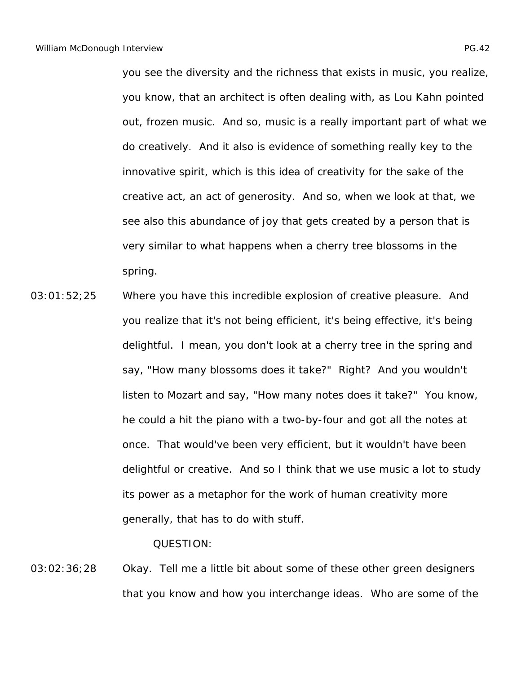you see the diversity and the richness that exists in music, you realize, you know, that an architect is often dealing with, as Lou Kahn pointed out, frozen music. And so, music is a really important part of what we do creatively. And it also is evidence of something really key to the innovative spirit, which is this idea of creativity for the sake of the creative act, an act of generosity. And so, when we look at that, we see also this abundance of joy that gets created by a person that is very similar to what happens when a cherry tree blossoms in the spring.

03:01:52;25 Where you have this incredible explosion of creative pleasure. And you realize that it's not being efficient, it's being effective, it's being delightful. I mean, you don't look at a cherry tree in the spring and say, "How many blossoms does it take?" Right? And you wouldn't listen to Mozart and say, "How many notes does it take?" You know, he could a hit the piano with a two-by-four and got all the notes at once. That would've been very efficient, but it wouldn't have been delightful or creative. And so I think that we use music a lot to study its power as a metaphor for the work of human creativity more generally, that has to do with stuff.

QUESTION:

03:02:36;28 Okay. Tell me a little bit about some of these other green designers that you know and how you interchange ideas. Who are some of the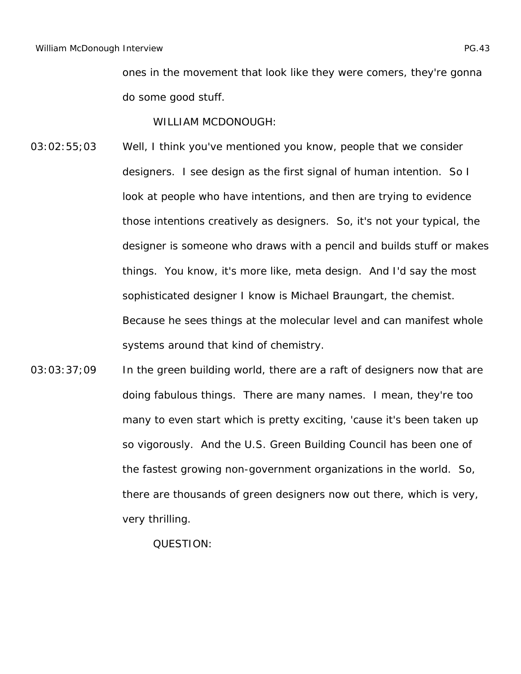ones in the movement that look like they were comers, they're gonna do some good stuff.

WILLIAM MCDONOUGH:

- 03:02:55;03 Well, I think you've mentioned you know, people that we consider designers. I see design as the first signal of human intention. So I look at people who have intentions, and then are trying to evidence those intentions creatively as designers. So, it's not your typical, the designer is someone who draws with a pencil and builds stuff or makes things. You know, it's more like, meta design. And I'd say the most sophisticated designer I know is Michael Braungart, the chemist. Because he sees things at the molecular level and can manifest whole systems around that kind of chemistry.
- 03:03:37;09 In the green building world, there are a raft of designers now that are doing fabulous things. There are many names. I mean, they're too many to even start which is pretty exciting, 'cause it's been taken up so vigorously. And the U.S. Green Building Council has been one of the fastest growing non-government organizations in the world. So, there are thousands of green designers now out there, which is very, very thrilling.

QUESTION: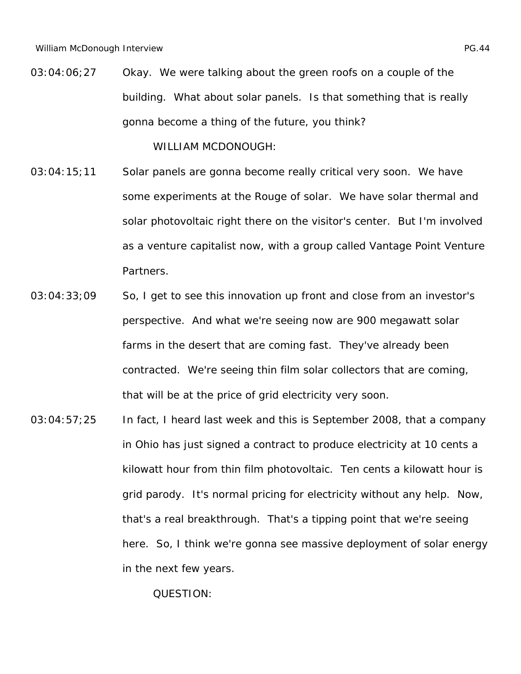03:04:06;27 Okay. We were talking about the green roofs on a couple of the building. What about solar panels. Is that something that is really gonna become a thing of the future, you think?

WILLIAM MCDONOUGH:

- 03:04:15;11 Solar panels are gonna become really critical very soon. We have some experiments at the Rouge of solar. We have solar thermal and solar photovoltaic right there on the visitor's center. But I'm involved as a venture capitalist now, with a group called Vantage Point Venture Partners.
- 03:04:33;09 So, I get to see this innovation up front and close from an investor's perspective. And what we're seeing now are 900 megawatt solar farms in the desert that are coming fast. They've already been contracted. We're seeing thin film solar collectors that are coming, that will be at the price of grid electricity very soon.
- 03:04:57;25 In fact, I heard last week and this is September 2008, that a company in Ohio has just signed a contract to produce electricity at 10 cents a kilowatt hour from thin film photovoltaic. Ten cents a kilowatt hour is grid parody. It's normal pricing for electricity without any help. Now, that's a real breakthrough. That's a tipping point that we're seeing here. So, I think we're gonna see massive deployment of solar energy in the next few years.

QUESTION: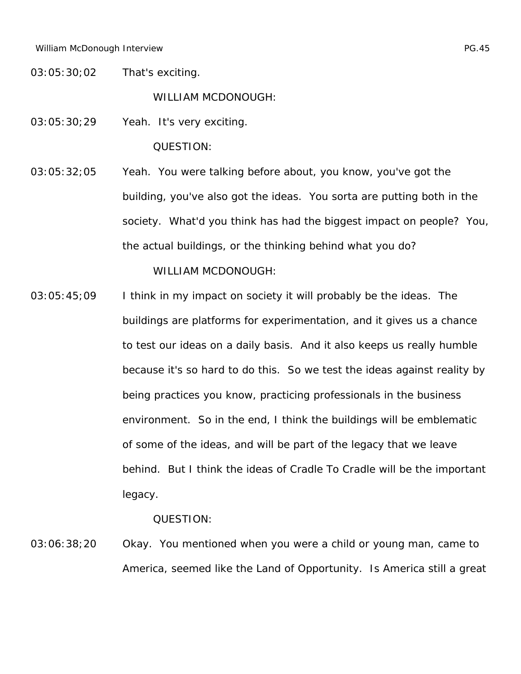03:05:30;02 That's exciting.

WILLIAM MCDONOUGH:

03:05:30;29 Yeah. It's very exciting.

QUESTION:

03:05:32;05 Yeah. You were talking before about, you know, you've got the building, you've also got the ideas. You sorta are putting both in the society. What'd you think has had the biggest impact on people? You, the actual buildings, or the thinking behind what you do?

WILLIAM MCDONOUGH:

 $03:05:45;09$  I think in my impact on society it will probably be the ideas. The buildings are platforms for experimentation, and it gives us a chance to test our ideas on a daily basis. And it also keeps us really humble because it's so hard to do this. So we test the ideas against reality by being practices you know, practicing professionals in the business environment. So in the end, I think the buildings will be emblematic of some of the ideas, and will be part of the legacy that we leave behind. But I think the ideas of Cradle To Cradle will be the important legacy.

QUESTION:

03:06:38;20 Okay. You mentioned when you were a child or young man, came to America, seemed like the Land of Opportunity. Is America still a great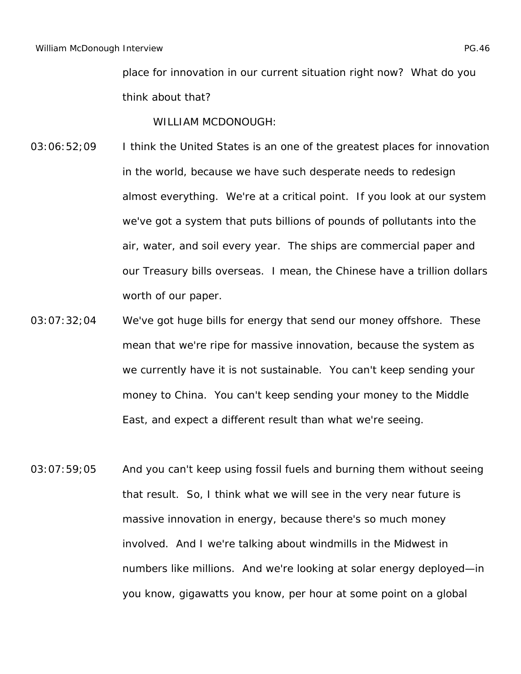place for innovation in our current situation right now? What do you think about that?

- 03:06:52;09 I think the United States is an one of the greatest places for innovation in the world, because we have such desperate needs to redesign almost everything. We're at a critical point. If you look at our system we've got a system that puts billions of pounds of pollutants into the air, water, and soil every year. The ships are commercial paper and our Treasury bills overseas. I mean, the Chinese have a trillion dollars worth of our paper.
- 03:07:32;04 We've got huge bills for energy that send our money offshore. These mean that we're ripe for massive innovation, because the system as we currently have it is not sustainable. You can't keep sending your money to China. You can't keep sending your money to the Middle East, and expect a different result than what we're seeing.
- 03:07:59;05 And you can't keep using fossil fuels and burning them without seeing that result. So, I think what we will see in the very near future is massive innovation in energy, because there's so much money involved. And I we're talking about windmills in the Midwest in numbers like millions. And we're looking at solar energy deployed—in you know, gigawatts you know, per hour at some point on a global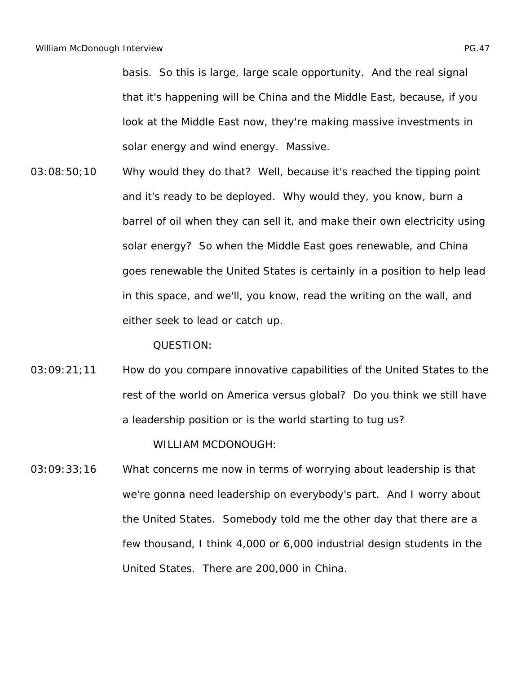basis. So this is large, large scale opportunity. And the real signal that it's happening will be China and the Middle East, because, if you look at the Middle East now, they're making massive investments in solar energy and wind energy. Massive.

03:08:50;10 Why would they do that? Well, because it's reached the tipping point and it's ready to be deployed. Why would they, you know, burn a barrel of oil when they can sell it, and make their own electricity using solar energy? So when the Middle East goes renewable, and China goes renewable the United States is certainly in a position to help lead in this space, and we'll, you know, read the writing on the wall, and either seek to lead or catch up.

QUESTION:

03:09:21;11 How do you compare innovative capabilities of the United States to the rest of the world on America versus global? Do you think we still have a leadership position or is the world starting to tug us?

WILLIAM MCDONOUGH:

03:09:33;16 What concerns me now in terms of worrying about leadership is that we're gonna need leadership on everybody's part. And I worry about the United States. Somebody told me the other day that there are a few thousand, I think 4,000 or 6,000 industrial design students in the United States. There are 200,000 in China.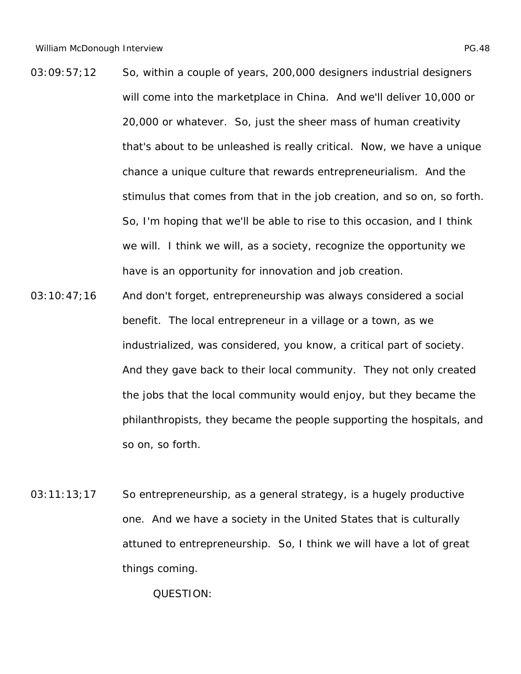- 03:09:57;12 So, within a couple of years, 200,000 designers industrial designers will come into the marketplace in China. And we'll deliver 10,000 or 20,000 or whatever. So, just the sheer mass of human creativity that's about to be unleashed is really critical. Now, we have a unique chance a unique culture that rewards entrepreneurialism. And the stimulus that comes from that in the job creation, and so on, so forth. So, I'm hoping that we'll be able to rise to this occasion, and I think we will. I think we will, as a society, recognize the opportunity we have is an opportunity for innovation and job creation.
- 03:10:47;16 And don't forget, entrepreneurship was always considered a social benefit. The local entrepreneur in a village or a town, as we industrialized, was considered, you know, a critical part of society. And they gave back to their local community. They not only created the jobs that the local community would enjoy, but they became the philanthropists, they became the people supporting the hospitals, and so on, so forth.
- 03:11:13;17 So entrepreneurship, as a general strategy, is a hugely productive one. And we have a society in the United States that is culturally attuned to entrepreneurship. So, I think we will have a lot of great things coming.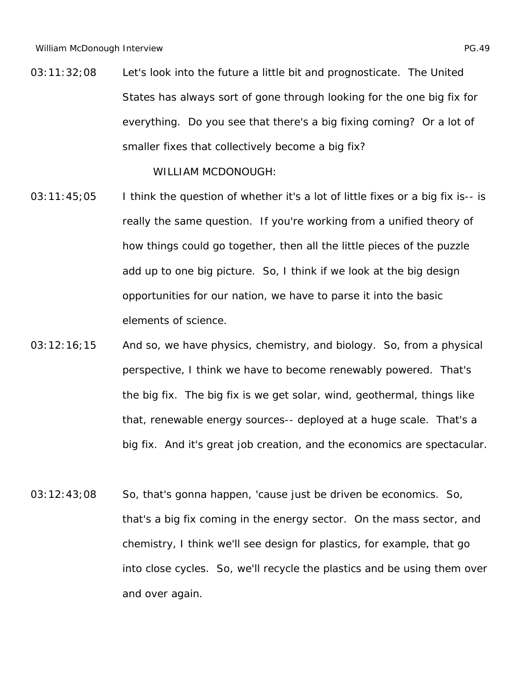03:11:32;08 Let's look into the future a little bit and prognosticate. The United States has always sort of gone through looking for the one big fix for everything. Do you see that there's a big fixing coming? Or a lot of smaller fixes that collectively become a big fix?

- $03:11:45;05$  I think the question of whether it's a lot of little fixes or a big fix is-- is really the same question. If you're working from a unified theory of how things could go together, then all the little pieces of the puzzle add up to one big picture. So, I think if we look at the big design opportunities for our nation, we have to parse it into the basic elements of science.
- 03:12:16;15 And so, we have physics, chemistry, and biology. So, from a physical perspective, I think we have to become renewably powered. That's the big fix. The big fix is we get solar, wind, geothermal, things like that, renewable energy sources-- deployed at a huge scale. That's a big fix. And it's great job creation, and the economics are spectacular.
- 03:12:43;08 So, that's gonna happen, 'cause just be driven be economics. So, that's a big fix coming in the energy sector. On the mass sector, and chemistry, I think we'll see design for plastics, for example, that go into close cycles. So, we'll recycle the plastics and be using them over and over again.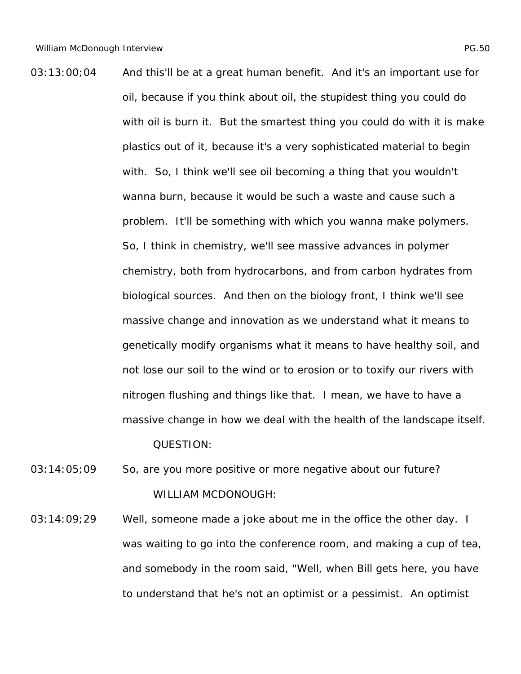- 03:13:00;04 And this'll be at a great human benefit. And it's an important use for oil, because if you think about oil, the stupidest thing you could do with oil is burn it. But the smartest thing you could do with it is make plastics out of it, because it's a very sophisticated material to begin with. So, I think we'll see oil becoming a thing that you wouldn't wanna burn, because it would be such a waste and cause such a problem. It'll be something with which you wanna make polymers. So, I think in chemistry, we'll see massive advances in polymer chemistry, both from hydrocarbons, and from carbon hydrates from biological sources. And then on the biology front, I think we'll see massive change and innovation as we understand what it means to genetically modify organisms what it means to have healthy soil, and not lose our soil to the wind or to erosion or to toxify our rivers with nitrogen flushing and things like that. I mean, we have to have a massive change in how we deal with the health of the landscape itself. QUESTION:
- 03:14:05;09 So, are you more positive or more negative about our future? WILLIAM MCDONOUGH:
- 03:14:09;29 Well, someone made a joke about me in the office the other day. I was waiting to go into the conference room, and making a cup of tea, and somebody in the room said, "Well, when Bill gets here, you have to understand that he's not an optimist or a pessimist. An optimist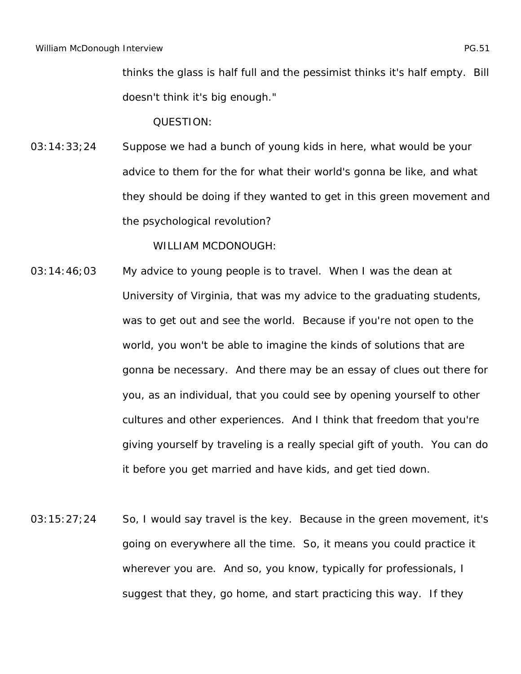thinks the glass is half full and the pessimist thinks it's half empty. Bill doesn't think it's big enough."

QUESTION:

03:14:33;24 Suppose we had a bunch of young kids in here, what would be your advice to them for the for what their world's gonna be like, and what they should be doing if they wanted to get in this green movement and the psychological revolution?

- 03:14:46;03 My advice to young people is to travel. When I was the dean at University of Virginia, that was my advice to the graduating students, was to get out and see the world. Because if you're not open to the world, you won't be able to imagine the kinds of solutions that are gonna be necessary. And there may be an essay of clues out there for you, as an individual, that you could see by opening yourself to other cultures and other experiences. And I think that freedom that you're giving yourself by traveling is a really special gift of youth. You can do it before you get married and have kids, and get tied down.
- 03:15:27;24 So, I would say travel is the key. Because in the green movement, it's going on everywhere all the time. So, it means you could practice it wherever you are. And so, you know, typically for professionals, I suggest that they, go home, and start practicing this way. If they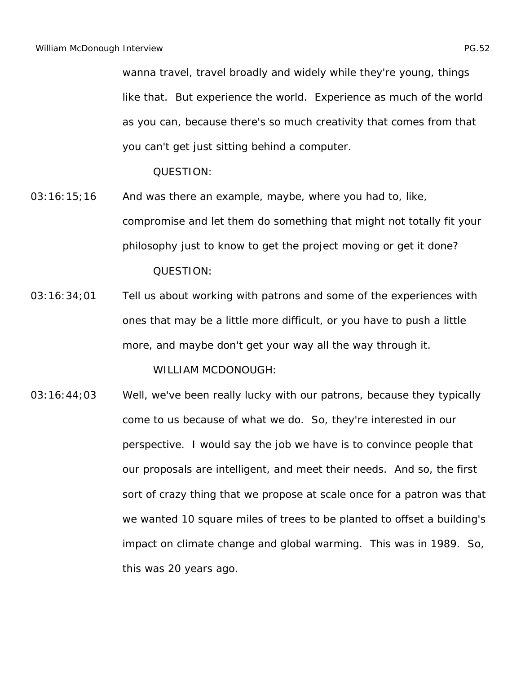wanna travel, travel broadly and widely while they're young, things like that. But experience the world. Experience as much of the world as you can, because there's so much creativity that comes from that you can't get just sitting behind a computer.

QUESTION:

- 03:16:15;16 And was there an example, maybe, where you had to, like, compromise and let them do something that might not totally fit your philosophy just to know to get the project moving or get it done? QUESTION:
- 03:16:34;01 Tell us about working with patrons and some of the experiences with ones that may be a little more difficult, or you have to push a little more, and maybe don't get your way all the way through it.

WILLIAM MCDONOUGH:

03:16:44;03 Well, we've been really lucky with our patrons, because they typically come to us because of what we do. So, they're interested in our perspective. I would say the job we have is to convince people that our proposals are intelligent, and meet their needs. And so, the first sort of crazy thing that we propose at scale once for a patron was that we wanted 10 square miles of trees to be planted to offset a building's impact on climate change and global warming. This was in 1989. So, this was 20 years ago.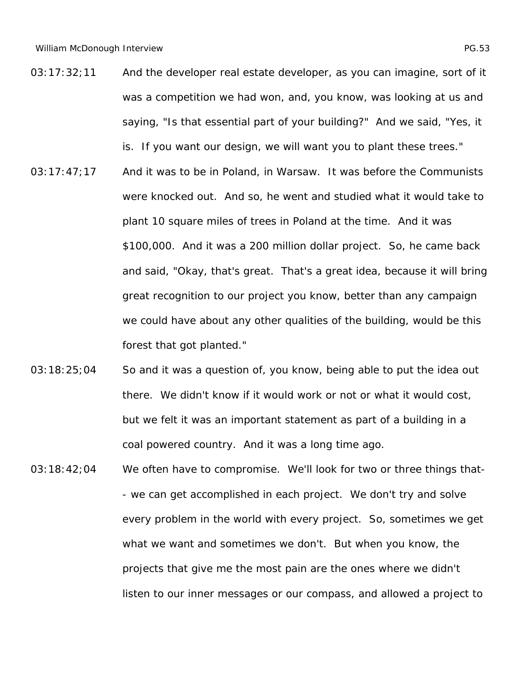- 03:17:32;11 And the developer real estate developer, as you can imagine, sort of it was a competition we had won, and, you know, was looking at us and saying, "Is that essential part of your building?" And we said, "Yes, it is. If you want our design, we will want you to plant these trees."
- 03:17:47;17 And it was to be in Poland, in Warsaw. It was before the Communists were knocked out. And so, he went and studied what it would take to plant 10 square miles of trees in Poland at the time. And it was \$100,000. And it was a 200 million dollar project. So, he came back and said, "Okay, that's great. That's a great idea, because it will bring great recognition to our project you know, better than any campaign we could have about any other qualities of the building, would be this forest that got planted."
- 03:18:25;04 So and it was a question of, you know, being able to put the idea out there. We didn't know if it would work or not or what it would cost, but we felt it was an important statement as part of a building in a coal powered country. And it was a long time ago.
- 03:18:42;04 We often have to compromise. We'll look for two or three things that-- we can get accomplished in each project. We don't try and solve every problem in the world with every project. So, sometimes we get what we want and sometimes we don't. But when you know, the projects that give me the most pain are the ones where we didn't listen to our inner messages or our compass, and allowed a project to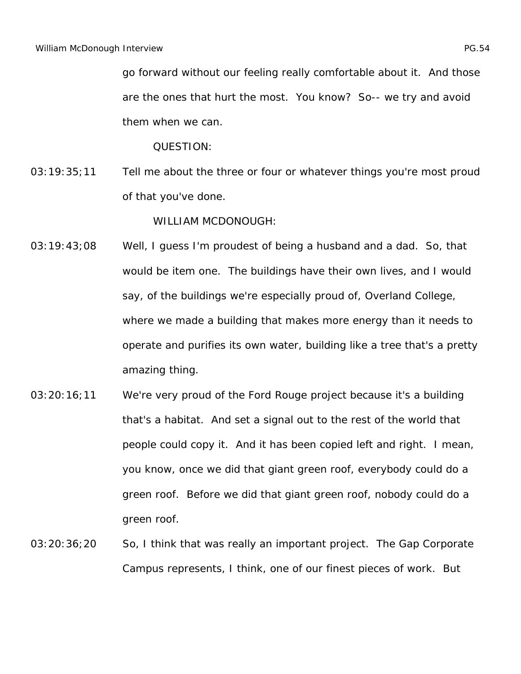go forward without our feeling really comfortable about it. And those are the ones that hurt the most. You know? So-- we try and avoid them when we can.

QUESTION:

03:19:35;11 Tell me about the three or four or whatever things you're most proud of that you've done.

- 03:19:43;08 Well, I guess I'm proudest of being a husband and a dad. So, that would be item one. The buildings have their own lives, and I would say, of the buildings we're especially proud of, Overland College, where we made a building that makes more energy than it needs to operate and purifies its own water, building like a tree that's a pretty amazing thing.
- 03:20:16;11 We're very proud of the Ford Rouge project because it's a building that's a habitat. And set a signal out to the rest of the world that people could copy it. And it has been copied left and right. I mean, you know, once we did that giant green roof, everybody could do a green roof. Before we did that giant green roof, nobody could do a green roof.
- 03:20:36;20 So, I think that was really an important project. The Gap Corporate Campus represents, I think, one of our finest pieces of work. But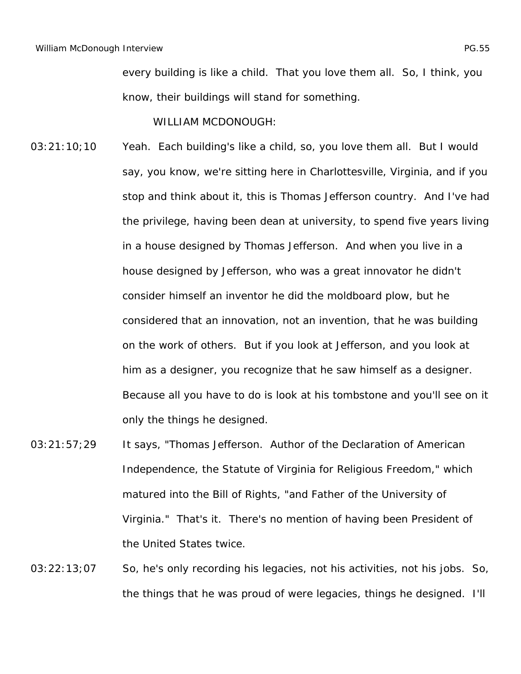every building is like a child. That you love them all. So, I think, you know, their buildings will stand for something.

- 03:21:10;10 Yeah. Each building's like a child, so, you love them all. But I would say, you know, we're sitting here in Charlottesville, Virginia, and if you stop and think about it, this is Thomas Jefferson country. And I've had the privilege, having been dean at university, to spend five years living in a house designed by Thomas Jefferson. And when you live in a house designed by Jefferson, who was a great innovator he didn't consider himself an inventor he did the moldboard plow, but he considered that an innovation, not an invention, that he was building on the work of others. But if you look at Jefferson, and you look at him as a designer, you recognize that he saw himself as a designer. Because all you have to do is look at his tombstone and you'll see on it only the things he designed.
- 03:21:57;29 It says, "Thomas Jefferson. Author of the Declaration of American Independence, the Statute of Virginia for Religious Freedom," which matured into the Bill of Rights, "and Father of the University of Virginia." That's it. There's no mention of having been President of the United States twice.
- 03:22:13;07 So, he's only recording his legacies, not his activities, not his jobs. So, the things that he was proud of were legacies, things he designed. I'll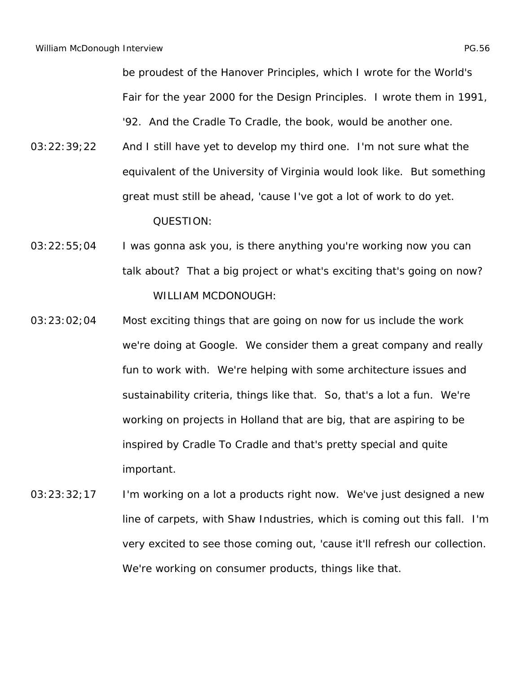be proudest of the Hanover Principles, which I wrote for the World's Fair for the year 2000 for the Design Principles. I wrote them in 1991, '92. And the *Cradle To Cradle*, the book, would be another one.

- 03:22:39;22 And I still have yet to develop my third one. I'm not sure what the equivalent of the University of Virginia would look like. But something great must still be ahead, 'cause I've got a lot of work to do yet. QUESTION:
- 03:22:55;04 I was gonna ask you, is there anything you're working now you can talk about? That a big project or what's exciting that's going on now? WILLIAM MCDONOUGH:
- 03:23:02;04 Most exciting things that are going on now for us include the work we're doing at Google. We consider them a great company and really fun to work with. We're helping with some architecture issues and sustainability criteria, things like that. So, that's a lot a fun. We're working on projects in Holland that are big, that are aspiring to be inspired by *Cradle To Cradle* and that's pretty special and quite important.
- 03:23:32;17 I'm working on a lot a products right now. We've just designed a new line of carpets, with Shaw Industries, which is coming out this fall. I'm very excited to see those coming out, 'cause it'll refresh our collection. We're working on consumer products, things like that.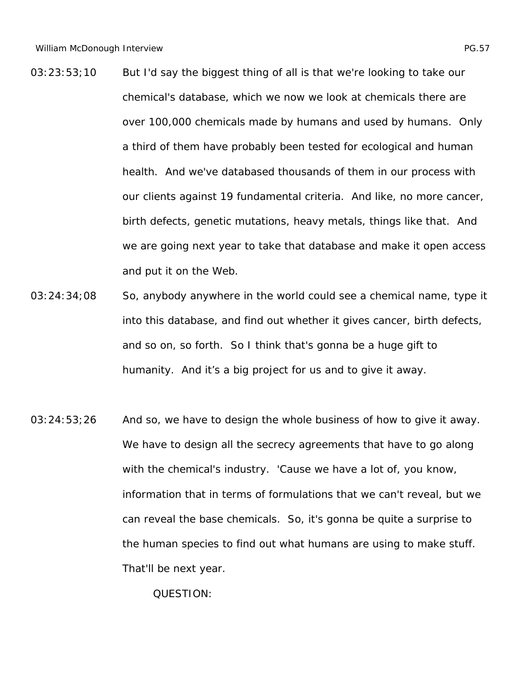- 03:23:53;10 But I'd say the biggest thing of all is that we're looking to take our chemical's database, which we now we look at chemicals there are over 100,000 chemicals made by humans and used by humans. Only a third of them have probably been tested for ecological and human health. And we've databased thousands of them in our process with our clients against 19 fundamental criteria. And like, no more cancer, birth defects, genetic mutations, heavy metals, things like that. And we are going next year to take that database and make it open access and put it on the Web.
- 03:24:34;08 So, anybody anywhere in the world could see a chemical name, type it into this database, and find out whether it gives cancer, birth defects, and so on, so forth. So I think that's gonna be a huge gift to humanity. And it's a big project for us and to give it away.
- 03:24:53;26 And so, we have to design the whole business of how to give it away. We have to design all the secrecy agreements that have to go along with the chemical's industry. 'Cause we have a lot of, you know, information that in terms of formulations that we can't reveal, but we can reveal the base chemicals. So, it's gonna be quite a surprise to the human species to find out what humans are using to make stuff. That'll be next year.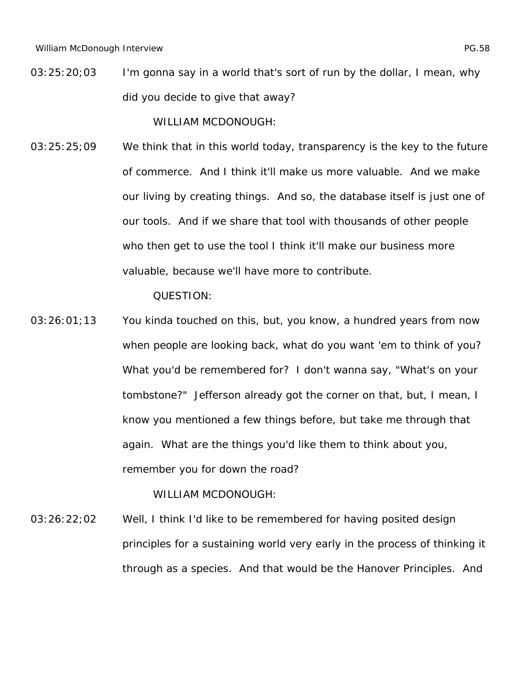03:25:20;03 I'm gonna say in a world that's sort of run by the dollar, I mean, why did you decide to give that away?

WILLIAM MCDONOUGH:

03:25:25;09 We think that in this world today, transparency is the key to the future of commerce. And I think it'll make us more valuable. And we make our living by creating things. And so, the database itself is just one of our tools. And if we share that tool with thousands of other people who then get to use the tool I think it'll make our business more valuable, because we'll have more to contribute.

QUESTION:

03:26:01;13 You kinda touched on this, but, you know, a hundred years from now when people are looking back, what do you want 'em to think of you? What you'd be remembered for? I don't wanna say, "What's on your tombstone?" Jefferson already got the corner on that, but, I mean, I know you mentioned a few things before, but take me through that again. What are the things you'd like them to think about you, remember you for down the road?

WILLIAM MCDONOUGH:

03:26:22;02 Well, I think I'd like to be remembered for having posited design principles for a sustaining world very early in the process of thinking it through as a species. And that would be the Hanover Principles. And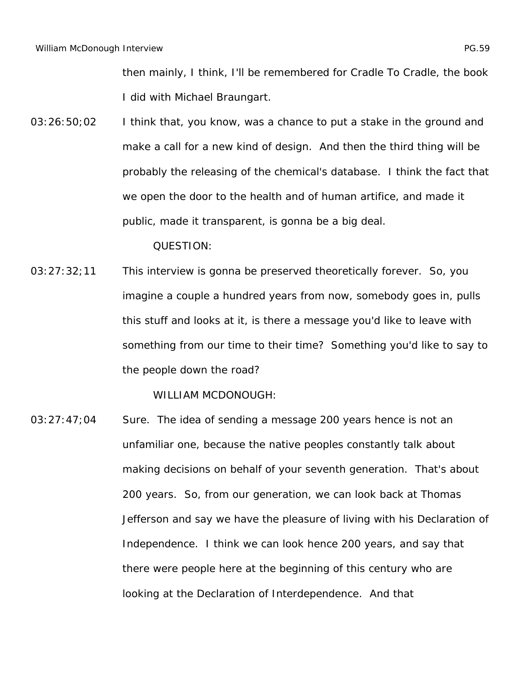then mainly, I think, I'll be remembered for *Cradle To Cradle*, the book I did with Michael Braungart.

03:26:50;02 I think that, you know, was a chance to put a stake in the ground and make a call for a new kind of design. And then the third thing will be probably the releasing of the chemical's database. I think the fact that we open the door to the health and of human artifice, and made it public, made it transparent, is gonna be a big deal.

QUESTION:

03:27:32;11 This interview is gonna be preserved theoretically forever. So, you imagine a couple a hundred years from now, somebody goes in, pulls this stuff and looks at it, is there a message you'd like to leave with something from our time to their time? Something you'd like to say to the people down the road?

WILLIAM MCDONOUGH:

03:27:47;04 Sure. The idea of sending a message 200 years hence is not an unfamiliar one, because the native peoples constantly talk about making decisions on behalf of your seventh generation. That's about 200 years. So, from our generation, we can look back at Thomas Jefferson and say we have the pleasure of living with his Declaration of Independence. I think we can look hence 200 years, and say that there were people here at the beginning of this century who are looking at the Declaration of Interdependence. And that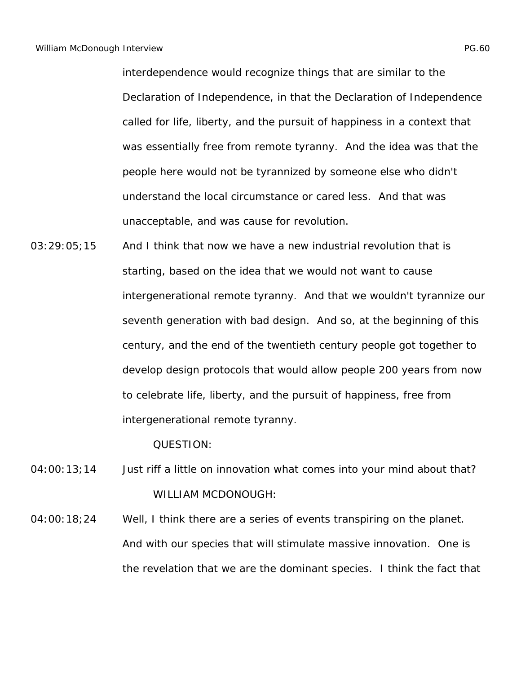interdependence would recognize things that are similar to the Declaration of Independence, in that the Declaration of Independence called for life, liberty, and the pursuit of happiness in a context that was essentially free from remote tyranny. And the idea was that the people here would not be tyrannized by someone else who didn't understand the local circumstance or cared less. And that was unacceptable, and was cause for revolution.

03:29:05;15 And I think that now we have a new industrial revolution that is starting, based on the idea that we would not want to cause intergenerational remote tyranny. And that we wouldn't tyrannize our seventh generation with bad design. And so, at the beginning of this century, and the end of the twentieth century people got together to develop design protocols that would allow people 200 years from now to celebrate life, liberty, and the pursuit of happiness, free from intergenerational remote tyranny.

QUESTION:

- 04:00:13;14 Just riff a little on innovation what comes into your mind about that? WILLIAM MCDONOUGH:
- 04:00:18;24 Well, I think there are a series of events transpiring on the planet. And with our species that will stimulate massive innovation. One is the revelation that we are the dominant species. I think the fact that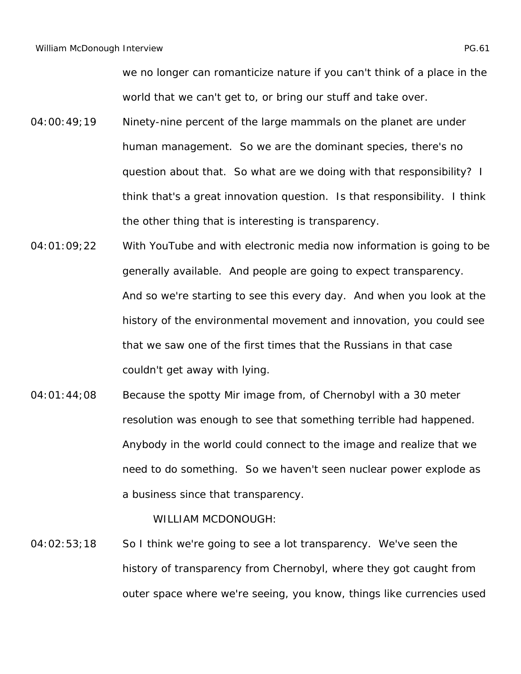we no longer can romanticize nature if you can't think of a place in the world that we can't get to, or bring our stuff and take over.

- 04:00:49;19 Ninety-nine percent of the large mammals on the planet are under human management. So we are the dominant species, there's no question about that. So what are we doing with that responsibility? I think that's a great innovation question. Is that responsibility. I think the other thing that is interesting is transparency.
- 04:01:09;22 With YouTube and with electronic media now information is going to be generally available. And people are going to expect transparency. And so we're starting to see this every day. And when you look at the history of the environmental movement and innovation, you could see that we saw one of the first times that the Russians in that case couldn't get away with lying.
- 04:01:44;08 Because the spotty Mir image from, of Chernobyl with a 30 meter resolution was enough to see that something terrible had happened. Anybody in the world could connect to the image and realize that we need to do something. So we haven't seen nuclear power explode as a business since that transparency.

WILLIAM MCDONOUGH:

04:02:53;18 So I think we're going to see a lot transparency. We've seen the history of transparency from Chernobyl, where they got caught from outer space where we're seeing, you know, things like currencies used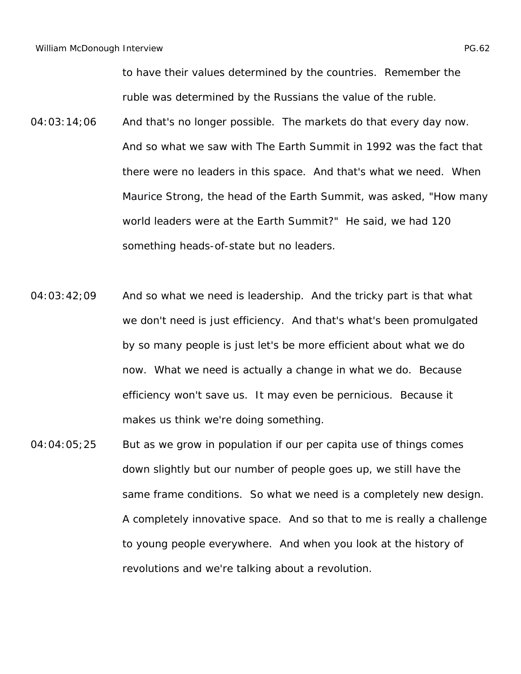to have their values determined by the countries. Remember the ruble was determined by the Russians the value of the ruble.

- 04:03:14;06 And that's no longer possible. The markets do that every day now. And so what we saw with The Earth Summit in 1992 was the fact that there were no leaders in this space. And that's what we need. When Maurice Strong, the head of the Earth Summit, was asked, "How many world leaders were at the Earth Summit?" He said, we had 120 something heads-of-state but no leaders.
- $04:03:42:09$  And so what we need is leadership. And the tricky part is that what we don't need is just efficiency. And that's what's been promulgated by so many people is just let's be more efficient about what we do now. What we need is actually a change in what we do. Because efficiency won't save us. It may even be pernicious. Because it makes us think we're doing something.
- 04:04:05;25 But as we grow in population if our per capita use of things comes down slightly but our number of people goes up, we still have the same frame conditions. So what we need is a completely new design. A completely innovative space. And so that to me is really a challenge to young people everywhere. And when you look at the history of revolutions and we're talking about a revolution.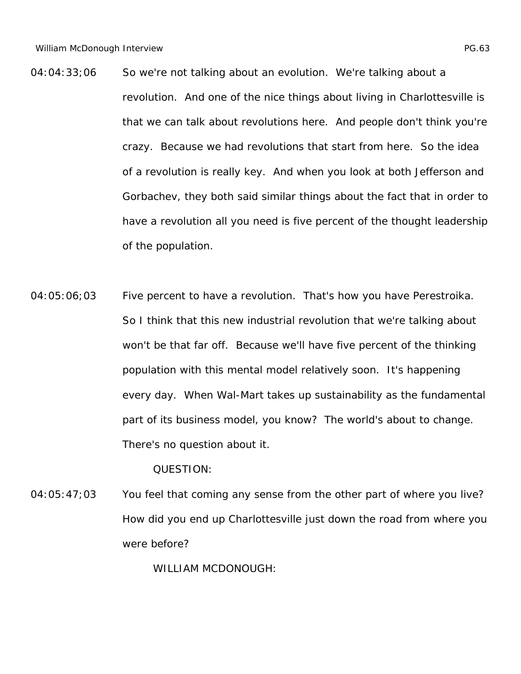- 04:04:33;06 So we're not talking about an evolution. We're talking about a revolution. And one of the nice things about living in Charlottesville is that we can talk about revolutions here. And people don't think you're crazy. Because we had revolutions that start from here. So the idea of a revolution is really key. And when you look at both Jefferson and Gorbachev, they both said similar things about the fact that in order to have a revolution all you need is five percent of the thought leadership of the population.
- 04:05:06;03 Five percent to have a revolution. That's how you have Perestroika. So I think that this new industrial revolution that we're talking about won't be that far off. Because we'll have five percent of the thinking population with this mental model relatively soon. It's happening every day. When Wal-Mart takes up sustainability as the fundamental part of its business model, you know? The world's about to change. There's no question about it.

04:05:47;03 You feel that coming any sense from the other part of where you live? How did you end up Charlottesville just down the road from where you were before?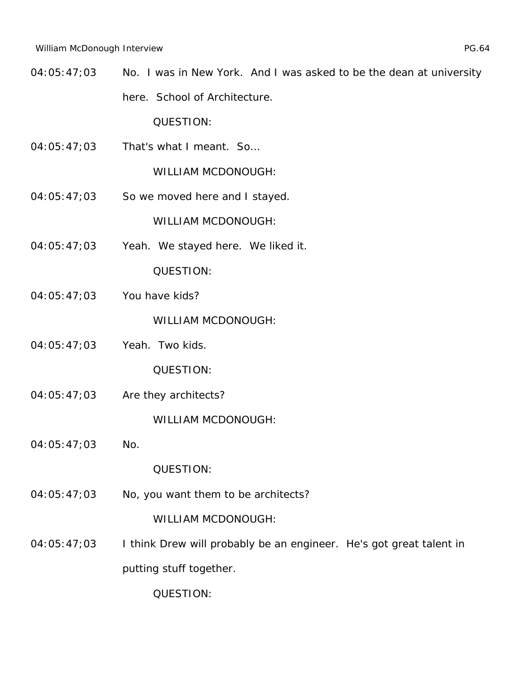04:05:47;03 No. I was in New York. And I was asked to be the dean at university here. School of Architecture.

QUESTION:

04:05:47;03 That's what I meant. So…

WILLIAM MCDONOUGH:

04:05:47;03 So we moved here and I stayed.

WILLIAM MCDONOUGH:

04:05:47;03 Yeah. We stayed here. We liked it.

QUESTION:

04:05:47;03 You have kids?

WILLIAM MCDONOUGH:

04:05:47;03 Yeah. Two kids.

QUESTION:

04:05:47;03 Are they architects?

WILLIAM MCDONOUGH:

04:05:47;03 No.

QUESTION:

04:05:47;03 No, you want them to be architects?

WILLIAM MCDONOUGH:

04:05:47;03 I think Drew will probably be an engineer. He's got great talent in putting stuff together.

QUESTION: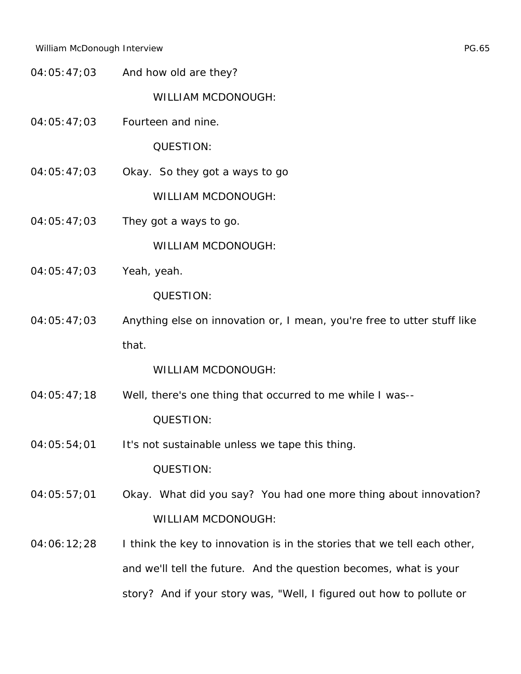04:05:47;03 And how old are they?

WILLIAM MCDONOUGH:

04:05:47;03 Fourteen and nine.

QUESTION:

04:05:47;03 Okay. So they got a ways to go

WILLIAM MCDONOUGH:

 $04:05:47;03$  They got a ways to go.

WILLIAM MCDONOUGH:

04:05:47;03 Yeah, yeah.

QUESTION:

04:05:47;03 Anything else on innovation or, I mean, you're free to utter stuff like that.

- 04:05:47;18 Well, there's one thing that occurred to me while I was-- QUESTION:
- 04:05:54;01 It's not sustainable unless we tape this thing. QUESTION:
- 04:05:57;01 Okay. What did you say? You had one more thing about innovation? WILLIAM MCDONOUGH:
- $04:06:12;28$  I think the key to innovation is in the stories that we tell each other, and we'll tell the future. And the question becomes, what is your story? And if your story was, "Well, I figured out how to pollute or